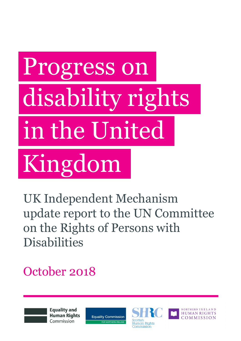# Progress on disability rights in the United Kingdom

UK Independent Mechanism update report to the UN Committee on the Rights of Persons with **Disabilities** 

October 2018

**Equality and Human Rights** Commission

**Equality Commission** FOR NORTHERN IRELAND



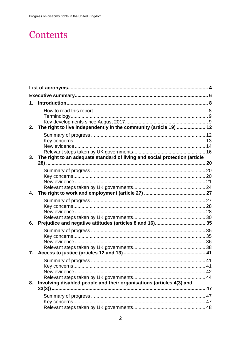# Contents

| 1. |                                                                            |  |
|----|----------------------------------------------------------------------------|--|
|    |                                                                            |  |
| 2. | The right to live independently in the community (article 19)  12          |  |
|    |                                                                            |  |
|    |                                                                            |  |
| 3. | The right to an adequate standard of living and social protection (article |  |
|    |                                                                            |  |
|    |                                                                            |  |
|    |                                                                            |  |
|    |                                                                            |  |
| 4. |                                                                            |  |
|    |                                                                            |  |
|    |                                                                            |  |
|    |                                                                            |  |
|    |                                                                            |  |
| 6. |                                                                            |  |
|    |                                                                            |  |
|    |                                                                            |  |
|    |                                                                            |  |
|    |                                                                            |  |
| 7. |                                                                            |  |
|    |                                                                            |  |
|    |                                                                            |  |
|    |                                                                            |  |
| 8. | Involving disabled people and their organisations (articles 4(3) and       |  |
|    |                                                                            |  |
|    |                                                                            |  |
|    |                                                                            |  |
|    |                                                                            |  |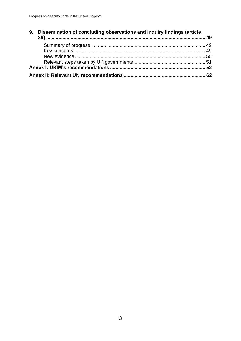| 9. | Dissemination of concluding observations and inquiry findings (article |  |
|----|------------------------------------------------------------------------|--|
|    |                                                                        |  |
|    |                                                                        |  |
|    |                                                                        |  |
|    |                                                                        |  |
|    |                                                                        |  |
|    |                                                                        |  |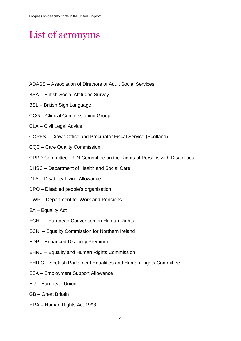# <span id="page-3-0"></span>List of acronyms

- ADASS Association of Directors of Adult Social Services
- BSA British Social Attitudes Survey
- BSL British Sign Language
- CCG Clinical Commissioning Group
- CLA Civil Legal Advice
- COPFS Crown Office and Procurator Fiscal Service (Scotland)
- CQC Care Quality Commission
- CRPD Committee UN Committee on the Rights of Persons with Disabilities
- DHSC Department of Health and Social Care
- DLA Disability Living Allowance
- DPO Disabled people's organisation
- DWP Department for Work and Pensions
- EA Equality Act
- ECHR European Convention on Human Rights
- ECNI Equality Commission for Northern Ireland
- EDP Enhanced Disability Premium
- EHRC Equality and Human Rights Commission
- EHRiC Scottish Parliament Equalities and Human Rights Committee
- ESA Employment Support Allowance
- EU European Union
- GB Great Britain
- HRA Human Rights Act 1998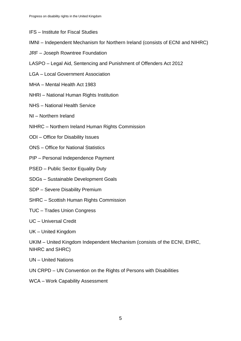- IFS Institute for Fiscal Studies
- IMNI Independent Mechanism for Northern Ireland (consists of ECNI and NIHRC)
- JRF Joseph Rowntree Foundation
- LASPO Legal Aid, Sentencing and Punishment of Offenders Act 2012
- LGA Local Government Association
- MHA Mental Health Act 1983
- NHRI National Human Rights Institution
- NHS National Health Service
- NI Northern Ireland
- NIHRC Northern Ireland Human Rights Commission
- ODI Office for Disability Issues
- ONS Office for National Statistics
- PIP Personal Independence Payment
- PSED Public Sector Equality Duty
- SDGs Sustainable Development Goals
- SDP Severe Disability Premium
- SHRC Scottish Human Rights Commission
- TUC Trades Union Congress

UC – Universal Credit

UK – United Kingdom

UKIM – United Kingdom Independent Mechanism (consists of the ECNI, EHRC, NIHRC and SHRC)

UN – United Nations

- UN CRPD UN Convention on the Rights of Persons with Disabilities
- WCA Work Capability Assessment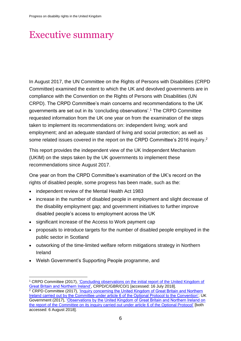# <span id="page-5-0"></span>Executive summary

In August 2017, the UN Committee on the Rights of Persons with Disabilities (CRPD Committee) examined the extent to which the UK and devolved governments are in compliance with the Convention on the Rights of Persons with Disabilities (UN CRPD). The CRPD Committee's main concerns and recommendations to the UK governments are set out in its 'concluding observations'.<sup>1</sup> The CRPD Committee requested information from the UK one year on from the examination of the steps taken to implement its recommendations on: independent living; work and employment; and an adequate standard of living and social protection; as well as some related issues covered in the report on the CRPD Committee's 2016 inquiry.<sup>2</sup>

This report provides the independent view of the UK Independent Mechanism (UKIM) on the steps taken by the UK governments to implement these recommendations since August 2017.

One year on from the CRPD Committee's examination of the UK's record on the rights of disabled people, some progress has been made, such as the:

- independent review of the Mental Health Act 1983
- increase in the number of disabled people in employment and slight decrease of the disability employment gap; and government initiatives to further improve disabled people's access to employment across the UK
- significant increase of the Access to Work payment cap
- proposals to introduce targets for the number of disabled people employed in the public sector in Scotland
- outworking of the time-limited welfare reform mitigations strategy in Northern Ireland
- Welsh Government's Supporting People programme, and

1

<sup>1</sup> CRPD Committee (2017), ['Concluding observations on the initial report of the United Kingdom of](http://tbinternet.ohchr.org/_layouts/treatybodyexternal/Download.aspx?symbolno=CRPD/C/GBR/CO/1&Lang=En)  [Great Britain and Northern Ireland',](http://tbinternet.ohchr.org/_layouts/treatybodyexternal/Download.aspx?symbolno=CRPD/C/GBR/CO/1&Lang=En) CRPD/C/GBR/CO/1 [accessed: 16 July 2018].  $2$  CRPD Committee (2017), 'Inquiry concerning the United Kingdom of Great Britain and Northern [Ireland carried out by the Committee under article 6 of the Optional Protocol to the Convention';](https://tbinternet.ohchr.org/_layouts/treatybodyexternal/Download.aspx?symbolno=CRPD%2fC%2f15%2f4&Lang=en) UK Government (2017), ['Observations by the United Kingdom of Great Britain and Northern Ireland on](https://tbinternet.ohchr.org/_layouts/treatybodyexternal/Download.aspx?symbolno=CRPD%2fC%2f17%2fR.3&Lang=en)  [the report of the Committee on its inquiry carried out under article 6 of the Optional Protocol'](https://tbinternet.ohchr.org/_layouts/treatybodyexternal/Download.aspx?symbolno=CRPD%2fC%2f17%2fR.3&Lang=en) [both accessed: 6 August 2018].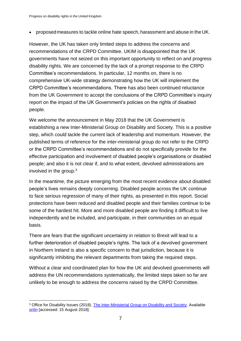proposedmeasures to tackle online hate speech, harassment and abuse in the UK.

However, the UK has taken only limited steps to address the concerns and recommendations of the CRPD Committee. UKIM is disappointed that the UK governments have not seized on this important opportunity to reflect on and progress disability rights. We are concerned by the lack of a prompt response to the CRPD Committee's recommendations. In particular, 12 months on, there is no comprehensive UK-wide strategy demonstrating how the UK will implement the CRPD Committee's recommendations. There has also been continued reluctance from the UK Government to accept the conclusions of the CRPD Committee's inquiry report on the impact of the UK Government's policies on the rights of disabled people.

We welcome the announcement in May 2018 that the UK Government is establishing a new Inter-Ministerial Group on Disability and Society. This is a positive step, which could tackle the current lack of leadership and momentum. However, the published terms of reference for the inter-ministerial group do not refer to the CRPD or the CRPD Committee's recommendations and do not specifically provide for the effective participation and involvement of disabled people's organisations or disabled people; and also it is not clear if, and to what extent, devolved administrations are involved in the group. 3

In the meantime, the picture emerging from the most recent evidence about disabled people's lives remains deeply concerning. Disabled people across the UK continue to face serious regression of many of their rights, as presented in this report. Social protections have been reduced and disabled people and their families continue to be some of the hardest hit. More and more disabled people are finding it difficult to live independently and be included, and participate, in their communities on an equal basis.

There are fears that the significant uncertainty in relation to Brexit will lead to a further deterioration of disabled people's rights. The lack of a devolved government in Northern Ireland is also a specific concern to that jurisdiction, because it is significantly inhibiting the relevant departments from taking the required steps.

Without a clear and coordinated plan for how the UK and devolved governments will address the UN recommendations systematically, the limited steps taken so far are unlikely to be enough to address the concerns raised by the CRPD Committee.

<sup>1</sup> <sup>3</sup> Office for Disability Issues (2018). [The Inter-Ministerial Group on Disability and Society.](https://www.gov.uk/government/organisations/office-for-disability-issues/about#the-) Available onlin [accessed: 15 August 2018].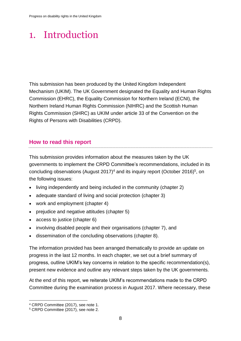# <span id="page-7-0"></span>1. Introduction

This submission has been produced by the United Kingdom Independent Mechanism (UKIM). The UK Government designated the Equality and Human Rights Commission (EHRC), the Equality Commission for Northern Ireland (ECNI), the Northern Ireland Human Rights Commission (NIHRC) and the Scottish Human Rights Commission (SHRC) as UKIM under article 33 of the Convention on the Rights of Persons with Disabilities (CRPD).

# <span id="page-7-1"></span>**How to read this report**

This submission provides information about the measures taken by the UK governments to implement the CRPD Committee's recommendations, included in its concluding observations (August 2017)<sup>4</sup> and its inquiry report (October 2016)<sup>5</sup>, on the following issues:

- living independently and being included in the community (chapter 2)
- adequate standard of living and social protection (chapter 3)
- work and employment (chapter 4)
- prejudice and negative attitudes (chapter 5)
- access to justice (chapter 6)
- involving disabled people and their organisations (chapter 7), and
- dissemination of the concluding observations (chapter 8).

The information provided has been arranged thematically to provide an update on progress in the last 12 months. In each chapter, we set out a brief summary of progress, outline UKIM's key concerns in relation to the specific recommendation(s), present new evidence and outline any relevant steps taken by the UK governments.

At the end of this report, we reiterate UKIM's recommendations made to the CRPD Committee during the examination process in August 2017. Where necessary, these

<sup>4</sup> CRPD Committee (2017), see note 1.

<sup>5</sup> CRPD Committee (2017), see note 2.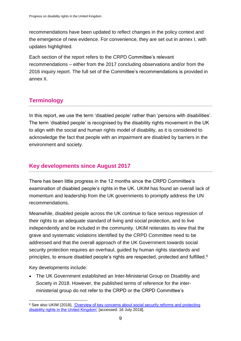recommendations have been updated to reflect changes in the policy context and the emergence of new evidence. For convenience, they are set out in annex I, with updates highlighted.

Each section of the report refers to the CRPD Committee's relevant recommendations – either from the 2017 concluding observations and/or from the 2016 inquiry report. The full set of the Committee's recommendations is provided in annex II.

# <span id="page-8-0"></span>**Terminology**

In this report, we use the term 'disabled people' rather than 'persons with disabilities'. The term 'disabled people' is recognised by the disability rights movement in the UK to align with the social and human rights model of disability, as it is considered to acknowledge the fact that people with an impairment are disabled by barriers in the environment and society.

# <span id="page-8-1"></span>**Key developments since August 2017**

There has been little progress in the 12 months since the CRPD Committee's examination of disabled people's rights in the UK. UKIM has found an overall lack of momentum and leadership from the UK governments to promptly address the UN recommendations.

Meanwhile, disabled people across the UK continue to face serious regression of their rights to an adequate standard of living and social protection, and to live independently and be included in the community. UKIM reiterates its view that the grave and systematic violations identified by the CRPD Committee need to be addressed and that the overall approach of the UK Government towards social security protection requires an overhaul, guided by human rights standards and principles, to ensure disabled people's rights are respected, protected and fulfilled.<sup>6</sup>

Key developments include:

 The UK Government established an Inter-Ministerial Group on Disability and Society in 2018. However, the published terms of reference for the interministerial group do not refer to the CRPD or the CRPD Committee's

<sup>&</sup>lt;sup>6</sup> See also UKIM (2018), 'Overview of key concerns about social security reforms and protecting [disability rights in the United Kingdom'](https://www.equalityhumanrights.com/sites/default/files/crpd-overview-of-our-concerns-lack-of-government-progress-june-2018.pdf) [accessed: 16 July 2018].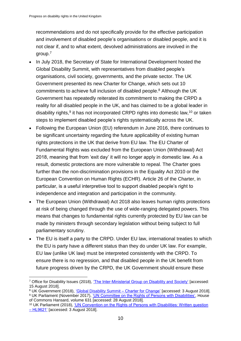recommendations and do not specifically provide for the effective participation and involvement of disabled people's organisations or disabled people, and it is not clear if, and to what extent, devolved administrations are involved in the group.<sup>7</sup>

- In July 2018, the Secretary of State for International Development hosted the Global Disability Summit, with representatives from disabled people's organisations, civil society, governments, and the private sector. The UK Government presented its new Charter for Change, which sets out 10 commitments to achieve full inclusion of disabled people. <sup>8</sup> Although the UK Government has repeatedly reiterated its commitment to making the CRPD a reality for all disabled people in the UK, and has claimed to be a global leader in disability rights,<sup>9</sup> it has not incorporated CRPD rights into domestic law,<sup>10</sup> or taken steps to implement disabled people's rights systematically across the UK.
- Following the European Union (EU) referendum in June 2016, there continues to be significant uncertainty regarding the future applicability of existing human rights protections in the UK that derive from EU law. The EU Charter of Fundamental Rights was excluded from the European Union (Withdrawal) Act 2018, meaning that from 'exit day' it will no longer apply in domestic law. As a result, domestic protections are more vulnerable to repeal. The Charter goes further than the non-discrimination provisions in the Equality Act 2010 or the European Convention on Human Rights (ECHR). Article 26 of the Charter, in particular, is a useful interpretive tool to support disabled people's right to independence and integration and participation in the community.
- The European Union (Withdrawal) Act 2018 also leaves human rights protections at risk of being changed through the use of wide-ranging delegated powers. This means that changes to fundamental rights currently protected by EU law can be made by ministers through secondary legislation without being subject to full parliamentary scrutiny.
- The EU is itself a party to the CRPD. Under EU law, international treaties to which the EU is party have a different status than they do under UK law. For example, EU law (unlike UK law) must be interpreted consistently with the CRPD. To ensure there is no regression, and that disabled people in the UK benefit from future progress driven by the CRPD, the UK Government should ensure these

<sup>8</sup> UK Government (2018), ['Global Disability Summit –](https://www.gov.uk/government/publications/global-disability-summit-charter-for-change) Charter for Change' [accessed: 3 August 2018].

<sup>1</sup> <sup>7</sup> Office for Disability Issues (2018), ['The Inter-Ministerial Group on Disability and Society'](https://www.gov.uk/government/organisations/office-for-disability-issues/about#the-) [accessed: 15 August 2018].

<sup>&</sup>lt;sup>9</sup> UK Parliament (November 2017), <u>'UN Committee on the Rights of Persons with Disabilities',</u> House of Commons Hansard, volume 631 [accessed: 28 August 2018].

<sup>10</sup> UK Parliament (2018), ['UN Convention on the Rights of Persons with Disabilities: Written question](https://www.parliament.uk/business/publications/written-questions-answers-statements/written-question/Lords/2018-07-17/HL9621)  – [HL9621'](https://www.parliament.uk/business/publications/written-questions-answers-statements/written-question/Lords/2018-07-17/HL9621) [accessed: 3 August 2018].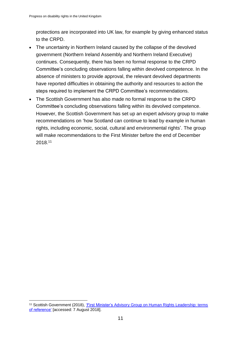protections are incorporated into UK law, for example by giving enhanced status to the CRPD.

- The uncertainty in Northern Ireland caused by the collapse of the devolved government (Northern Ireland Assembly and Northern Ireland Executive) continues. Consequently, there has been no formal response to the CRPD Committee's concluding observations falling within devolved competence. In the absence of ministers to provide approval, the relevant devolved departments have reported difficulties in obtaining the authority and resources to action the steps required to implement the CRPD Committee's recommendations.
- The Scottish Government has also made no formal response to the CRPD Committee's concluding observations falling within its devolved competence. However, the Scottish Government has set up an expert advisory group to make recommendations on 'how Scotland can continue to lead by example in human rights, including economic, social, cultural and environmental rights'. The group will make recommendations to the First Minister before the end of December 2018. 11

1

<sup>11</sup> Scottish Government (2018), ['First Minister's Advisory Group on Human Rights Leadership: terms](http://humanrightsleadership.scot/)  [of reference'](http://humanrightsleadership.scot/) [accessed: 7 August 2018].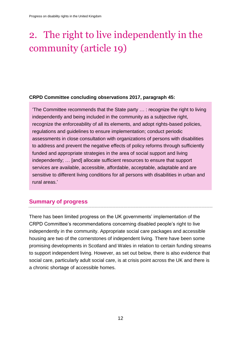# <span id="page-11-0"></span>2. The right to live independently in the community (article 19)

#### **CRPD Committee concluding observations 2017, paragraph 45:**

'The Committee recommends that the State party … : recognize the right to living independently and being included in the community as a subjective right, recognize the enforceability of all its elements, and adopt rights-based policies, regulations and guidelines to ensure implementation; conduct periodic assessments in close consultation with organizations of persons with disabilities to address and prevent the negative effects of policy reforms through sufficiently funded and appropriate strategies in the area of social support and living independently; … [and] allocate sufficient resources to ensure that support services are available, accessible, affordable, acceptable, adaptable and are sensitive to different living conditions for all persons with disabilities in urban and rural areas.'

# <span id="page-11-1"></span>**Summary of progress**

There has been limited progress on the UK governments' implementation of the CRPD Committee's recommendations concerning disabled people's right to live independently in the community. Appropriate social care packages and accessible housing are two of the cornerstones of independent living. There have been some promising developments in Scotland and Wales in relation to certain funding streams to support independent living. However, as set out below, there is also evidence that social care, particularly adult social care, is at crisis point across the UK and there is a chronic shortage of accessible homes.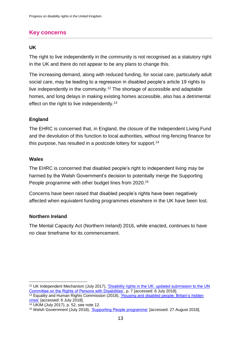# <span id="page-12-0"></span>**Key concerns**

#### **UK**

The right to live independently in the community is not recognised as a statutory right in the UK and there do not appear to be any plans to change this.

The increasing demand, along with reduced funding, for social care, particularly adult social care, may be leading to a regression in disabled people's article 19 rights to live independently in the community. <sup>12</sup> The shortage of accessible and adaptable homes, and long delays in making existing homes accessible, also has a detrimental effect on the right to live independently.<sup>13</sup>

#### **England**

The EHRC is concerned that, in England, the closure of the Independent Living Fund and the devolution of this function to local authorities, without ring-fencing finance for this purpose, has resulted in a postcode lottery for support.<sup>14</sup>

#### **Wales**

1

The EHRC is concerned that disabled people's right to independent living may be harmed by the Welsh Government's decision to potentially merge the Supporting People programme with other budget lines from 2020.<sup>15</sup>

Concerns have been raised that disabled people's rights have been negatively affected when equivalent funding programmes elsewhere in the UK have been lost.

#### **Northern Ireland**

The Mental Capacity Act (Northern Ireland) 2016, while enacted, continues to have no clear timeframe for its commencement.

<sup>12</sup> UK Independent Mechanism (July 2017), ['Disability rights in the UK: updated submission to the UN](https://www.equalityhumanrights.com/en/publication-download/disability-rights-uk-updated-submission-un-committee-rights-persons)  [Committee on the Rights of Persons with Disabilities',](https://www.equalityhumanrights.com/en/publication-download/disability-rights-uk-updated-submission-un-committee-rights-persons) p. 7 [accessed: 6 July 2018].

 $\frac{1}{13}$  Equality and Human Rights Commission (2018), 'Housing and disabled people: Britain's hidden [crisis'](https://www.equalityhumanrights.com/en/housing-and-disabled-people-britain%E2%80%99s-hidden-crisis) [accessed: 6 July 2018].

<sup>14</sup> UKIM (July 2017), p. 52, see note 12.

<sup>&</sup>lt;sup>15</sup> Welsh Government (July 2018), ['Supporting People programme'](https://gov.wales/topics/housing-and-regeneration/services-and-support/supporting-people/?lang=en) [accessed: 27 August 2018].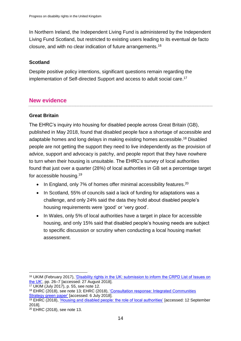In Northern Ireland, the Independent Living Fund is administered by the Independent Living Fund Scotland, but restricted to existing users leading to its eventual de facto closure, and with no clear indication of future arrangements.<sup>16</sup>

# **Scotland**

Despite positive policy intentions, significant questions remain regarding the implementation of Self-directed Support and access to adult social care. 17

# <span id="page-13-0"></span>**New evidence**

# **Great Britain**

The EHRC's inquiry into housing for disabled people across Great Britain (GB), published in May 2018, found that disabled people face a shortage of accessible and adaptable homes and long delays in making existing homes accessible. <sup>18</sup> Disabled people are not getting the support they need to live independently as the provision of advice, support and advocacy is patchy, and people report that they have nowhere to turn when their housing is unsuitable. The EHRC's survey of local authorities found that just over a quarter (28%) of local authorities in GB set a percentage target for accessible housing.<sup>19</sup>

- $\bullet$  In England, only 7% of homes offer minimal accessibility features.<sup>20</sup>
- In Scotland, 55% of councils said a lack of funding for adaptations was a challenge, and only 24% said the data they hold about disabled people's housing requirements were 'good' or 'very good'.
- In Wales, only 5% of local authorities have a target in place for accessible housing, and only 15% said that disabled people's housing needs are subject to specific discussion or scrutiny when conducting a local housing market assessment.

<sup>16</sup> UKIM (February 2017), ['Disability rights in the UK: submission to inform the CRPD List of Issues on](https://www.equalityhumanrights.com/sites/default/files/united_kingdom_main_submission_to_crpd_uk_loi_-_ukim13march.pdf)  [the UK',](https://www.equalityhumanrights.com/sites/default/files/united_kingdom_main_submission_to_crpd_uk_loi_-_ukim13march.pdf) pp. 26–7 [accessed: 27 August 2018].

<sup>17</sup> UKIM (July 2017), p. 55, see note 12.

<sup>18</sup> EHRC (2018), see note 13; EHRC (2018), ['Consultation response: Integrated Communities](https://www.equalityhumanrights.com/sites/default/files/consultation-response-integrated-communities-strategy-june-2018.pdf)  [Strategy green paper'](https://www.equalityhumanrights.com/sites/default/files/consultation-response-integrated-communities-strategy-june-2018.pdf) [accessed: 6 July 2018].

<sup>&</sup>lt;sup>19</sup> EHRC (2018), ['Housing and disabled people: the role of local authorities'](https://www.equalityhumanrights.com/sites/default/files/research-report-115-housing-and-disabled-people-the-role-of-local-authorities.pdf) [accessed: 12 September 2018].

<sup>20</sup> EHRC (2018), see note 13.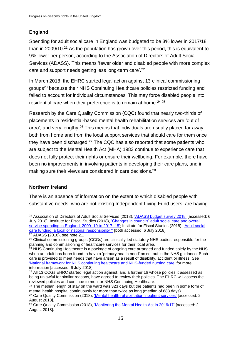# **England**

Spending for adult social care in England was budgeted to be 3% lower in 2017/18 than in 2009/10. $21$  As the population has grown over this period, this is equivalent to 9% lower per person, according to the Association of Directors of Adult Social Services (ADASS). This means 'fewer older and disabled people with more complex care and support needs getting less long-term care'. 22

In March 2018, the EHRC started legal action against 13 clinical commissioning groups<sup>23</sup> because their NHS Continuing Healthcare policies restricted funding and failed to account for individual circumstances. This may force disabled people into residential care when their preference is to remain at home.<sup>24 25</sup>

Research by the Care Quality Commission (CQC) found that nearly two-thirds of placements in residential-based mental health rehabilitation services are 'out of area', and very lengthy.<sup>26</sup> This means that individuals are usually placed far away both from home and from the local support services that should care for them once they have been discharged.<sup>27</sup> The CQC has also reported that some patients who are subject to the Mental Health Act (MHA) 1983 continue to experience care that does not fully protect their rights or ensure their wellbeing. For example, there have been no improvements in involving patients in developing their care plans, and in making sure their views are considered in care decisions.<sup>28</sup>

#### **Northern Ireland**

There is an absence of information on the extent to which disabled people with substantive needs, who are not existing Independent Living Fund users, are having

<sup>&</sup>lt;u>.</u> <sup>21</sup> Association of Directors of Adult Social Services (2018), ['ADASS budget survey 2018'](https://www.adass.org.uk/adass-budget-survey-2018) [accessed: 6 July 2018]; Institute for Fiscal Studies (2018), ['Changes in councils' adult social care and overall](https://www.ifs.org.uk/publications/13066)  [service spending in England, 2009–10 to 2017–18';](https://www.ifs.org.uk/publications/13066) Institute for Fiscal Studies (2018), ['Adult social](https://www.ifs.org.uk/publications/12857)  [care funding: a local or national responsibility?'](https://www.ifs.org.uk/publications/12857) [both accessed: 6 July 2018].

<sup>22</sup> ADASS (2018), see note 21.

<sup>&</sup>lt;sup>23</sup> Clinical commissioning groups (CCGs) are clinically led statutory NHS bodies responsible for the planning and commissioning of healthcare services for their local area.

 $24$  NHS Continuing Healthcare is a package of ongoing care arranged and funded solely by the NHS when an adult has been found to have a 'primary health need' as set out in the NHS guidance. Such care is provided to meet needs that have arisen as a result of disability, accident or illness. See ['National framework for NHS continuing healthcare and NHS-funded nursing care'](https://www.gov.uk/government/publications/national-framework-for-nhs-continuing-healthcare-and-nhs-funded-nursing-care) for more information [accessed: 6 July 2018].

<sup>&</sup>lt;sup>25</sup> All 13 CCGs EHRC started legal action against, and a further 16 whose policies it assessed as being unlawful for similar reasons, have agreed to review their policies. The EHRC will assess the reviewed policies and continue to monitor NHS Continuing Healthcare.

 $26$  The median length of stay on the ward was 323 days but the patients had been in some form of mental health hospital continuously for more than twice as long (median of 683 days).

<sup>27</sup> Care Quality Commission (2018), ['Mental health rehabilitation inpatient services'](https://www.cqc.org.uk/publications/themed-work/briefing-%E2%80%93-mental-health-rehabilitation-inpatient-services) [accessed: 2 August 2018].

<sup>&</sup>lt;sup>28</sup> Care Quality Commission (2018), ['Monitoring the Mental Health Act in 2016/17'](https://www.cqc.org.uk/publications/major-report/monitoring-mental-health-act-report) [accessed: 2 August 2018].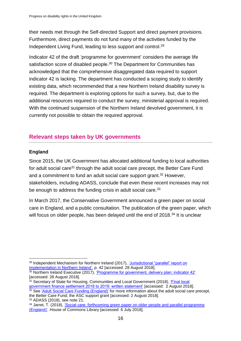their needs met through the Self-directed Support and direct payment provisions. Furthermore, direct payments do not fund many of the activities funded by the Independent Living Fund, leading to less support and control. 29

Indicator 42 of the draft 'programme for government' considers the average life satisfaction score of disabled people.<sup>30</sup> The Department for Communities has acknowledged that the comprehensive disaggregated data required to support indicator 42 is lacking. The department has conducted a scoping study to identify existing data, which recommended that a new Northern Ireland disability survey is required. The department is exploring options for such a survey, but, due to the additional resources required to conduct the survey, ministerial approval is required. With the continued suspension of the Northern Ireland devolved government, it is currently not possible to obtain the required approval.

# <span id="page-15-0"></span>**Relevant steps taken by UK governments**

# **England**

Since 2015, the UK Government has allocated additional funding to local authorities for adult social care<sup>31</sup> through the adult social care precept, the Better Care Fund and a commitment to fund an adult social care support grant.<sup>32</sup> However, stakeholders, including ADASS, conclude that even these recent increases may not be enough to address the funding crisis in adult social care.<sup>33</sup>

In March 2017, the Conservative Government announced a green paper on social care in England, and a public consultation. The publication of the green paper, which will focus on older people, has been delayed until the end of 2018.<sup>34</sup> It is unclear

<sup>1</sup> <sup>29</sup> Independent Mechanism for Northern Ireland (2017), ['Jurisdictional "parallel" report on](https://www.equalityni.org/uncrpd)  [implementation in Northern Ireland',](https://www.equalityni.org/uncrpd) p. 42 [accessed: 28 August 2018].

 $30$  Northern Ireland Executive (2017), ['Programme for government, delivery plan: indicator 42'](https://www.northernireland.gov.uk/sites/default/files/publications/newnigov/dp-average-life-satisfaction-score.PDF) [accessed: 28 August 2018].

<sup>&</sup>lt;sup>31</sup> Secretary of State for Housing, Communities and Local Government (2018), 'Final local [government finance settlement 2018 to 2019: written statement'](https://www.gov.uk/government/speeches/final-local-government-finance-settlement-2018-to-2019-written-statement) [accessed: 2 August 2018].

<sup>&</sup>lt;sup>32</sup> See ['Adult Social Care Funding \(England\)'](https://researchbriefings.parliament.uk/ResearchBriefing/Summary/CBP-7903) for more information about the adult social care precept, the Better Care Fund; the ASC support grant [accessed: 2 August 2018].

<sup>33</sup> ADASS (2018), see note 21.

<sup>&</sup>lt;sup>34</sup> Jarret, T. (2018), 'Social care: forthcoming green paper on older people and parallel programme [\(England\)'.](https://researchbriefings.parliament.uk/ResearchBriefing/Summary/CBP-8002) House of Commons Library [accessed: 6 July 2018].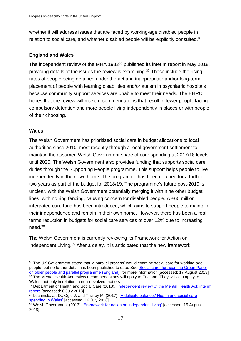whether it will address issues that are faced by working-age disabled people in relation to social care, and whether disabled people will be explicitly consulted.<sup>35</sup>

# **England and Wales**

The independent review of the MHA 1983<sup>36</sup> published its interim report in May 2018, providing details of the issues the review is examining.<sup>37</sup> These include the rising rates of people being detained under the act and inappropriate and/or long-term placement of people with learning disabilities and/or autism in psychiatric hospitals because community support services are unable to meet their needs. The EHRC hopes that the review will make recommendations that result in fewer people facing compulsory detention and more people living independently in places or with people of their choosing.

# **Wales**

1

The Welsh Government has prioritised social care in budget allocations to local authorities since 2010, most recently through a local government settlement to maintain the assumed Welsh Government share of core spending at 2017/18 levels until 2020. The Welsh Government also provides funding that supports social care duties through the Supporting People programme. This support helps people to live independently in their own home. The programme has been retained for a further two years as part of the budget for 2018/19. The programme's future post-2019 is unclear, with the Welsh Government potentially merging it with nine other budget lines, with no ring fencing, causing concern for disabled people. A £60 million integrated care fund has been introduced, which aims to support people to maintain their independence and remain in their own home. However, there has been a real terms reduction in budgets for social care services of over 12% due to increasing need.<sup>38</sup>

The Welsh Government is currently reviewing its Framework for Action on Independent Living.<sup>39</sup> After a delay, it is anticipated that the new framework,

<sup>35</sup> The UK Government stated that 'a parallel process' would examine social care for working-age people, but no further detail has been published to date. See ['Social care: forthcoming Green Paper](https://researchbriefings.parliament.uk/ResearchBriefing/Summary/CBP-8002)  [on older people and parallel programme \(England\)'](https://researchbriefings.parliament.uk/ResearchBriefing/Summary/CBP-8002) for more information [accessed: 17 August 2018]. <sup>36</sup> The Mental Health Act review recommendations will apply to England. They will also apply to Wales, but only in relation to non-devolved matters.

<sup>37</sup> Department of Health and Social Care (2018), ['Independent review of the Mental Health Act: interim](https://www.gov.uk/government/publications/independent-review-of-the-mental-health-act-interim-report)  [report'](https://www.gov.uk/government/publications/independent-review-of-the-mental-health-act-interim-report) [accessed: 6 July 2018].

<sup>38</sup> Luchinskaya, D., Ogle J. and Trickey M. (2017), 'A delicate balance? Health and social care [spending in Wales'](https://socialcare.wales/research-and-data/research-on-care-finder/a-delicate-balance-health-and-social-care-spending-in-wales) [accessed: 16 July 2018].

<sup>39</sup> Welsh Government (2013), ['Framework for action on independent living'](https://gov.wales/topics/people-and-communities/equality-diversity/rightsequality/disability/framework-for-action/?lang=en) [accessed: 15 August 2018].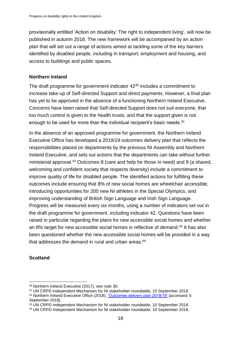provisionally entitled 'Action on disability: The right to independent living', will now be published in autumn 2018. The new framework will be accompanied by an action plan that will set out a range of actions aimed at tackling some of the key barriers identified by disabled people, including in transport, employment and housing, and access to buildings and public spaces.

#### **Northern Ireland**

The draft programme for government indicator 42<sup>40</sup> includes a commitment to increase take-up of Self-directed Support and direct payments. However, a final plan has yet to be approved in the absence of a functioning Northern Ireland Executive. Concerns have been raised that Self-directed Support does not suit everyone, that too much control is given to the health trusts, and that the support given is not enough to be used for more than the individual recipient's basic needs.<sup>41</sup>

In the absence of an approved programme for government, the Northern Ireland Executive Office has developed a 2018/19 outcomes delivery plan that reflects the responsibilities placed on departments by the previous NI Assembly and Northern Ireland Executive, and sets out actions that the departments can take without further ministerial approval.<sup>42</sup> Outcomes 8 (care and help for those in need) and 9 (a shared, welcoming and confident society that respects diversity) include a commitment to improve quality of life for disabled people. The identified actions for fulfilling these outcomes include ensuring that 8% of new social homes are wheelchair accessible, introducing opportunities for 200 new NI athletes in the Special Olympics, and improving understanding of British Sign Language and Irish Sign Language. Progress will be measured every six months, using a number of indicators set out in the draft programme for government, including indicator 42. Questions have been raised in particular regarding the plans for new accessible social homes and whether an 8% target for new accessible social homes is reflective of demand.<sup>43</sup> It has also been questioned whether the new accessible social homes will be provided in a way that addresses the demand in rural and urban areas.<sup>44</sup>

#### **Scotland**

1

<sup>40</sup> Northern Ireland Executive (2017), see note 30.

<sup>41</sup> UN CRPD Independent Mechanism for NI stakeholder roundtable, 10 September 2018.

<sup>42</sup> Northern Ireland Executive Office (2018), ['Outcomes delivery plan 2018/19'](https://www.executiveoffice-ni.gov.uk/publications/outcomes-delivery-plan-201819) [accessed: 5 September 2018].

<sup>43</sup> UN CRPD Independent Mechanism for NI stakeholder roundtable, 10 September 2018.

<sup>44</sup> UN CRPD Independent Mechanism for NI stakeholder roundtable, 10 September 2018.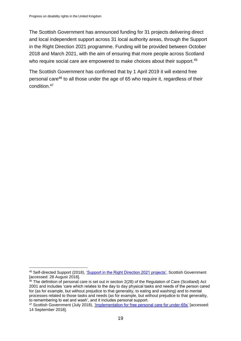The Scottish Government has announced funding for 31 projects delivering direct and local independent support across 31 local authority areas, through the Support in the Right Direction 2021 programme. Funding will be provided between October 2018 and March 2021, with the aim of ensuring that more people across Scotland who require social care are empowered to make choices about their support.<sup>45</sup>

The Scottish Government has confirmed that by 1 April 2019 it will extend free personal care<sup>46</sup> to all those under the age of 65 who require it, regardless of their condition.<sup>47</sup>

<sup>1</sup> 45 Self-directed Support (2018), ['Support in the Right Direction 2021 projects',](http://www.selfdirectedsupportscotland.org.uk/projects) Scottish Government [accessed: 28 August 2018].

<sup>&</sup>lt;sup>46</sup> The definition of personal care is set out in section 2(28) of the Regulation of Care (Scotland) Act 2001 and includes 'care which relates to the day to day physical tasks and needs of the person cared for (as for example, but without prejudice to that generality, to eating and washing) and to mental processes related to those tasks and needs (as for example, but without prejudice to that generality, to remembering to eat and wash', and it includes personal support.

<sup>47</sup> Scottish Government (July 2018), ['Implementation for free personal care for under-65s'](https://www.gov.scot/Topics/Health/Support-Social-Care/Support/Adult-Social-Care/Free-Personal-Nursing-Care/Implementation-free-personal-care-under65) [accessed: 14 September 2018].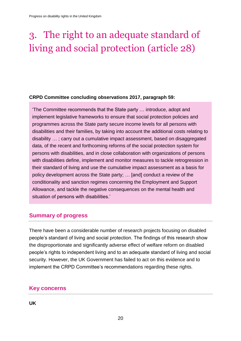# <span id="page-19-0"></span>3. The right to an adequate standard of living and social protection (article 28)

#### **CRPD Committee concluding observations 2017, paragraph 59:**

'The Committee recommends that the State party … introduce, adopt and implement legislative frameworks to ensure that social protection policies and programmes across the State party secure income levels for all persons with disabilities and their families, by taking into account the additional costs relating to disability … ; carry out a cumulative impact assessment, based on disaggregated data, of the recent and forthcoming reforms of the social protection system for persons with disabilities, and in close collaboration with organizations of persons with disabilities define, implement and monitor measures to tackle retrogression in their standard of living and use the cumulative impact assessment as a basis for policy development across the State party; … [and] conduct a review of the conditionality and sanction regimes concerning the Employment and Support Allowance, and tackle the negative consequences on the mental health and situation of persons with disabilities.'

# <span id="page-19-1"></span>**Summary of progress**

There have been a considerable number of research projects focusing on disabled people's standard of living and social protection. The findings of this research show the disproportionate and significantly adverse effect of welfare reform on disabled people's rights to independent living and to an adequate standard of living and social security. However, the UK Government has failed to act on this evidence and to implement the CRPD Committee's recommendations regarding these rights.

# <span id="page-19-2"></span>**Key concerns**

**UK**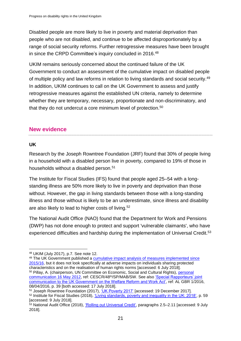Disabled people are more likely to live in poverty and material deprivation than people who are not disabled, and continue to be affected disproportionately by a range of social security reforms. Further retrogressive measures have been brought in since the CRPD Committee's inquiry concluded in 2016.<sup>48</sup>

UKIM remains seriously concerned about the continued failure of the UK Government to conduct an assessment of the cumulative impact on disabled people of multiple policy and law reforms in relation to living standards and social security.<sup>49</sup> In addition, UKIM continues to call on the UK Government to assess and justify retrogressive measures against the established UN criteria, namely to determine whether they are temporary, necessary, proportionate and non-discriminatory, and that they do not undercut a core minimum level of protection.<sup>50</sup>

# <span id="page-20-0"></span>**New evidence**

# **UK**

1

Research by the Joseph Rowntree Foundation (JRF) found that 30% of people living in a household with a disabled person live in poverty, compared to 19% of those in households without a disabled person.<sup>51</sup>

The Institute for Fiscal Studies (IFS) found that people aged 25–54 with a longstanding illness are 50% more likely to live in poverty and deprivation than those without. However, the gap in living standards between those with a long-standing illness and those without is likely to be an underestimate, since illness and disability are also likely to lead to higher costs of living.<sup>52</sup>

The National Audit Office (NAO) found that the Department for Work and Pensions (DWP) has not done enough to protect and support 'vulnerable claimants', who have experienced difficulties and hardship during the implementation of Universal Credit.<sup>53</sup>

<sup>48</sup> UKIM (July 2017), p.7. See note 12.

<sup>49</sup> The UK Government published a [cumulative impact analysis of measures implemented since](https://assets.publishing.service.gov.uk/government/uploads/system/uploads/attachment_data/file/661465/distributional_analysis_autumn_budget_2017.pdf)  [2015/16,](https://assets.publishing.service.gov.uk/government/uploads/system/uploads/attachment_data/file/661465/distributional_analysis_autumn_budget_2017.pdf) but it does not look specifically at adverse impacts on individuals sharing protected characteristics and on the realisation of human rights norms [accessed: 6 July 2018]. <sup>50</sup> Pillay, A. (chairperson, UN Committee on Economic, Social and Cultural Rights), [personal](http://www2.ohchr.org/english/bodies/cescr/docs/LetterCESCRtoSP16.05.12.pdf)  [communication 16 May 2012,](http://www2.ohchr.org/english/bodies/cescr/docs/LetterCESCRtoSP16.05.12.pdf) ref: CESCR/48th/SP/MAB/SW. See also ['Special Rapporteurs' joint](https://www.ohchr.org/EN/Issues/Housing/Pages/Communications.aspx)  [communication to the UK Government on the Welfare Reform and Work Act',](https://www.ohchr.org/EN/Issues/Housing/Pages/Communications.aspx) ref: AL GBR 1/2016, 08/04/2016, p. 39 [both accessed: 17 July 2018].

<sup>51</sup> Joseph Rowntree Foundation (2017), ['UK Poverty 2017'](https://www.jrf.org.uk/report/uk-poverty-2017) [accessed: 19 December 2017]. <sup>52</sup> Institute for Fiscal Studies (2018), ['Living standards, poverty and inequality in the UK: 2018',](https://www.ifs.org.uk/publications/13075) p. 59 [accessed: 9 July 2018].

<sup>&</sup>lt;sup>53</sup> National Audit Office (2018), ['Rolling out Universal Credit',](https://www.nao.org.uk/wp-content/uploads/2018/06/Rolling-out-Universal-Credit.pdf) paragraphs 2.5–2.11 [accessed: 9 July 2018].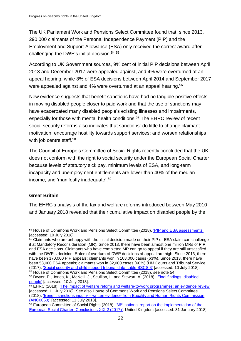The UK Parliament Work and Pensions Select Committee found that, since 2013, 290,000 claimants of the Personal Independence Payment (PIP) and the Employment and Support Allowance (ESA) only received the correct award after challenging the DWP's initial decision. 54 55

According to UK Government sources, 9% cent of initial PIP decisions between April 2013 and December 2017 were appealed against, and 4% were overturned at an appeal hearing, while 8% of ESA decisions between April 2014 and September 2017 were appealed against and 4% were overturned at an appeal hearing.<sup>56</sup>

New evidence suggests that benefit sanctions have had no tangible positive effects in moving disabled people closer to paid work and that the use of sanctions may have exacerbated many disabled people's existing illnesses and impairments, especially for those with mental health conditions.<sup>57</sup> The EHRC review of recent social security reforms also indicates that sanctions: do little to change claimant motivation; encourage hostility towards support services; and worsen relationships with job centre staff.<sup>58</sup>

The Council of Europe's Committee of Social Rights recently concluded that the UK does not conform with the right to social security under the European Social Charter because levels of statutory sick pay, minimum levels of ESA, and long-term incapacity and unemployment entitlements are lower than 40% of the median income, and 'manifestly inadequate'. 59

# **Great Britain**

The EHRC's analysis of the tax and welfare reforms introduced between May 2010 and January 2018 revealed that their cumulative impact on disabled people by the

<sup>1</sup> <sup>54</sup> House of Commons Work and Pensions Select Committee (2018), ['PIP and ESA assessments'](https://publications.parliament.uk/pa/cm201719/cmselect/cmworpen/829/82902.htm) [accessed: 10 July 2018].

<sup>&</sup>lt;sup>55</sup> Claimants who are unhappy with the initial decision made on their PIP or ESA claim can challenge it at Mandatory Reconsideration (MR). Since 2013, there have been almost one million MRs of PIP and ESA decisions. Claimants who have completed MR can go to appeal if they are still unsatisfied with the DWP's decision. Rates of overturn of DWP decisions at appeal are high. Since 2013, there have been 170,000 PIP appeals; claimants won in 108,000 cases (63%). Since 2013, there have been 53,000 ESA appeals; claimants won in 32,000 cases (60%) (HM Courts and Tribunal Service (2017), ['Social security and child support tribunal data, table SSCS.3'](https://www.gov.uk/government/statistics/tribunals-and-gender-recognition-certificate-statistics-quarterly-july-to-september-2017) [accessed: 10 July 2018]. <sup>56</sup> House of Commons Work and Pensions Select Committee (2018), see note 54.

<sup>57</sup> Dwyer, P., Jones, K., McNeill, J., Scullion, L. and Stewart, A. (2018), ['Final findings: disabled](http://www.welfareconditionality.ac.uk/wp-content/uploads/2018/05/40414-Disabled-people-web.pdf)  [people'](http://www.welfareconditionality.ac.uk/wp-content/uploads/2018/05/40414-Disabled-people-web.pdf) [accessed: 10 July 2018].

<sup>58</sup> EHRC (2018), ['The impact of welfare reform and welfare-to-work programmes: an evidence review'](https://www.equalityhumanrights.com/en/publication-download/impact-welfare-reform-and-welfare-work-programmes-evidence-review) [accessed: 11 July 2018]. See also House of Commons Work and Pensions Select Committee (2018), 'Benefit sanctions inquiry – [written evidence from Equality and Human Rights Commission](http://data.parliament.uk/writtenevidence/committeeevidence.svc/evidencedocument/work-and-pensions-committee/benefit-sanctions/written/83449.html)  [\(ANC0050\)'](http://data.parliament.uk/writtenevidence/committeeevidence.svc/evidencedocument/work-and-pensions-committee/benefit-sanctions/written/83449.html) [accessed: 11 July 2018].

 $\frac{1}{59}$  European Committee of Social Rights (2018), '36<sup>th</sup> national report on the implementation of the [European Social Charter: Conclusions XXI-2 \(2017\)',](https://www.coe.int/en/web/turin-european-social-charter/national-reports/-/asset_publisher/NGDGrDoGr0Q6/content/the-european-committee-of-social-rights-publishes-its-conclusions-xxi-2-2017-in-respect-of-greece-iceland-and-luxembourg?inheritRedirect=false) United Kingdom [accessed: 31 January 2018].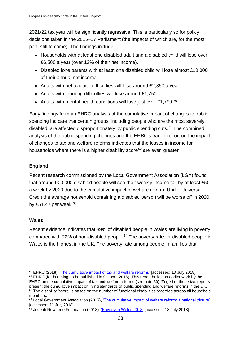2021/22 tax year will be significantly regressive. This is particularly so for policy decisions taken in the 2015–17 Parliament (the impacts of which are, for the most part, still to come). The findings include:

- Households with at least one disabled adult and a disabled child will lose over £6,500 a year (over 13% of their net income).
- Disabled lone parents with at least one disabled child will lose almost £10,000 of their annual net income.
- Adults with behavioural difficulties will lose around £2,350 a year.
- Adults with learning difficulties will lose around £1,750.
- Adults with mental health conditions will lose just over £1,799.<sup>60</sup>

Early findings from an EHRC analysis of the cumulative impact of changes to public spending indicate that certain groups, including people who are the most severely disabled, are affected disproportionately by public spending cuts.<sup>61</sup> The combined analysis of the public spending changes and the EHRC's earlier report on the impact of changes to tax and welfare reforms indicates that the losses in income for households where there is a higher disability score<sup>62</sup> are even greater.

# **England**

Recent research commissioned by the Local Government Association (LGA) found that around 900,000 disabled people will see their weekly income fall by at least £50 a week by 2020 due to the cumulative impact of welfare reform. Under Universal Credit the average household containing a disabled person will be worse off in 2020 by £51.47 per week. $63$ 

# **Wales**

Recent evidence indicates that 39% of disabled people in Wales are living in poverty, compared with 22% of non-disabled people.<sup>64</sup> The poverty rate for disabled people in Wales is the highest in the UK. The poverty rate among people in families that

<sup>1</sup> <sup>60</sup> EHRC (2018), ['The cumulative impact of tax and welfare reforms'](https://www.equalityhumanrights.com/en/publication-download/cumulative-impact-tax-and-welfare-reforms) [accessed: 10 July 2018].

<sup>&</sup>lt;sup>61</sup> EHRC (forthcoming; to be published in October 2018). This report builds on earlier work by the EHRC on the cumulative impact of tax and welfare reforms (see note 60). Together these two reports present the cumulative impact on living standards of public spending and welfare reforms in the UK.  $62$  The disability 'score' is based on the number of functional disabilities recorded across all household members.

<sup>63</sup> Local Government Association (2017), ['The cumulative impact of welfare reform: a national picture'](http://policyinpractice.co.uk/wp-content/uploads/2017/06/The-impact-of-welfare-reform-a-national-picture_summary-report.pdf) [accessed: 11 July 2018].

<sup>&</sup>lt;sup>64</sup> Joseph Rowntree Foundation (2018), ['Poverty in Wales 2018'](https://www.jrf.org.uk/report/poverty-wales-2018) [accessed: 18 July 2018].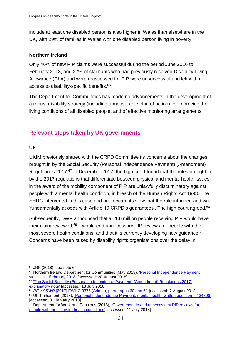include at least one disabled person is also higher in Wales than elsewhere in the UK, with 29% of families in Wales with one disabled person living in poverty.<sup>65</sup>

# **Northern Ireland**

Only 46% of new PIP claims were successful during the period June 2016 to February 2018, and 27% of claimants who had previously received Disability Living Allowance (DLA) and were reassessed for PIP were unsuccessful and left with no access to disability-specific benefits.<sup>66</sup>

The Department for Communities has made no advancements in the development of a robust disability strategy (including a measurable plan of action) for improving the living conditions of all disabled people, and of effective monitoring arrangements.

# <span id="page-23-0"></span>**Relevant steps taken by UK governments**

#### **UK**

UKIM previously shared with the CRPD Committee its concerns about the changes brought in by the Social Security (Personal Independence Payment) (Amendment) Regulations 2017. <sup>67</sup> In December 2017, the high court found that the rules brought in by the 2017 regulations that differentiate between physical and mental health issues in the award of the mobility component of PIP are unlawfully discriminatory against people with a mental health condition, in breach of the Human Rights Act 1998. The EHRC intervened in this case and put forward its view that the rule infringed and was 'fundamentally at odds with Article 19 CRPD's quarantees'. The high court agreed. $68$ 

Subsequently, DWP announced that all 1.6 million people receiving PIP would have their claim reviewed, <sup>69</sup> it would end unnecessary PIP reviews for people with the most severe health conditions, and that it is currently developing new guidance.<sup>70</sup> Concerns have been raised by disability rights organisations over the delay in

1

<sup>65</sup> JRF (2018), see note 64.

<sup>&</sup>lt;sup>66</sup> Northern Ireland Department for Communities (May 2018), 'Personal Independence Payment statistics – [February 2018'](https://www.communities-ni.gov.uk/publications/personal-independence-payment-statistics-february-2018) [accessed: 28 August 2018].

<sup>&</sup>lt;sup>67</sup> 'The Social Security (Personal Independence Payment) (Amendment) Regulations 2017: [explanatory note'](http://www.legislation.gov.uk/uksi/2017/194/made) [accessed: 18 July 2018].

<sup>68</sup> *RF v SSWP* [\[2017\] EWHC 3375 \(Admin\), paragraphs 60 and 61](http://www.bailii.org/ew/cases/EWHC/Admin/2017/3375.html) [accessed: 7 August 2018]. <sup>69</sup> UK Parliament (2018), ['Personal Independence Payment: mental health: written question –](http://www.parliament.uk/business/publications/written-questions-answers-statements/written-question/Commons/2018-01-23/124308/) 124308' [accessed: 31 January 2018].

<sup>&</sup>lt;sup>70</sup> Department for Work and Pensions (2018), 'Government to end unnecessary PIP reviews for [people with most severe health conditions'](https://www.gov.uk/government/news/government-to-end-unnecessary-pip-reviews-for-people-with-most-severe-health-conditions) [accessed: 11 July 2018].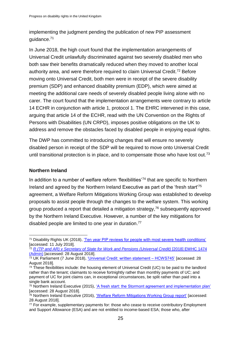implementing the judgment pending the publication of new PIP assessment guidance.<sup>71</sup>

In June 2018, the high court found that the implementation arrangements of Universal Credit unlawfully discriminated against two severely disabled men who both saw their benefits dramatically reduced when they moved to another local authority area, and were therefore required to claim Universal Credit.<sup>72</sup> Before moving onto Universal Credit, both men were in receipt of the severe disability premium (SDP) and enhanced disability premium (EDP), which were aimed at meeting the additional care needs of severely disabled people living alone with no carer. The court found that the implementation arrangements were contrary to article 14 ECHR in conjunction with article 1, protocol 1. The EHRC intervened in this case, arguing that article 14 of the ECHR, read with the UN Convention on the Rights of Persons with Disabilities (UN CRPD), imposes positive obligations on the UK to address and remove the obstacles faced by disabled people in enjoying equal rights.

The DWP has committed to introducing changes that will ensure no severely disabled person in receipt of the SDP will be required to move onto Universal Credit until transitional protection is in place, and to compensate those who have lost out.<sup>73</sup>

#### **Northern Ireland**

In addition to a number of welfare reform 'flexibilities'<sup>74</sup> that are specific to Northern Ireland and agreed by the Northern Ireland Executive as part of the 'fresh start'<sup>75</sup> agreement, a Welfare Reform Mitigations Working Group was established to develop proposals to assist people through the changes to the welfare system. This working group produced a report that detailed a mitigation strategy, <sup>76</sup> subsequently approved by the Northern Ireland Executive. However, a number of the key mitigations for disabled people are limited to one year in duration.<sup>77</sup>

<sup>1</sup> <sup>71</sup> Disability Rights UK (2018), ['Ten year PIP reviews for people with most severe health conditions'](https://www.disabilityrightsuk.org/news/2018/june/ten-year-pip-reviews-people-most-severe-health-conditions) [accessed: 11 July 2018].

<sup>72</sup> *[R \(TP and AR\) v Secretary of State for Work and Pensions \(Universal Credit\)](https://www.judiciary.uk/judgments/r-tp-and-ar-v-secretary-of-state-for-work-and-pensions-universal-credit/)* [2018] EWHC 1474 [\(Admin\)](https://www.judiciary.uk/judgments/r-tp-and-ar-v-secretary-of-state-for-work-and-pensions-universal-credit/) [accessed: 28 August 2018].

<sup>73</sup> UK Parliament (7 June 2018), ['Universal Credit: written statement –](https://hansard.parliament.uk/commons/2018-06-07/debates/18060727000016/UniversalCredit) HCWS745' [accessed: 28 August 2018].

 $74$  These flexibilities include: the housing element of Universal Credit (UC) to be paid to the landlord rather than the tenant; claimants to receive fortnightly rather than monthly payments of UC; and payment of UC for joint claims can, in exceptional circumstances, be split rather than paid into a single bank account.

<sup>75</sup> Northern Ireland Executive (2015), 'A fresh start: the [Stormont agreement and implementation plan'](https://www.northernireland.gov.uk/sites/default/files/publications/nigov/a-fresh-start-stormont-agreement_0.pdf) [accessed: 28 August 2018].

<sup>&</sup>lt;sup>76</sup> Northern Ireland Executive (2016), ['Welfare Reform Mitigations Working Group report'](https://www.executiveoffice-ni.gov.uk/publications/welfare-reform-mitigations-working-group-report) [accessed: 28 August 2018].

<sup>77</sup> For example, supplementary payments for: those who cease to receive contributory Employment and Support Allowance (ESA) and are not entitled to income-based ESA; those who, after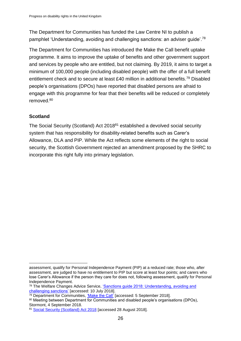The Department for Communities has funded the Law Centre NI to publish a pamphlet 'Understanding, avoiding and challenging sanctions: an adviser guide'.<sup>78</sup>

The Department for Communities has introduced the Make the Call benefit uptake programme. It aims to improve the uptake of benefits and other government support and services by people who are entitled, but not claiming. By 2019, it aims to target a minimum of 100,000 people (including disabled people) with the offer of a full benefit entitlement check and to secure at least £40 million in additional benefits.<sup>79</sup> Disabled people's organisations (DPOs) have reported that disabled persons are afraid to engage with this programme for fear that their benefits will be reduced or completely removed.<sup>80</sup>

# **Scotland**

The Social Security (Scotland) Act 2018<sup>81</sup> established a devolved social security system that has responsibility for disability-related benefits such as Carer's Allowance, DLA and PIP. While the Act reflects some elements of the right to social security, the Scottish Government rejected an amendment proposed by the SHRC to incorporate this right fully into primary legislation.

<sup>1</sup> assessment, qualify for Personal Independence Payment (PIP) at a reduced rate; those who, after assessment, are judged to have no entitlement to PIP but score at least four points; and carers who lose Carer's Allowance if the person they care for does not, following assessment, qualify for Personal Independence Payment.

<sup>78</sup> The Welfare Changes Advice Service, 'Sanctions guide 2018: Understanding, avoiding and [challenging sanctions'](https://www.lawcentreni.org/publications/publications.html) [accessed: 10 July 2018].

<sup>&</sup>lt;sup>79</sup> Department for Communities, ['Make the Call'](https://www.communities-ni.gov.uk/articles/benefit-uptake-programme) [accessed: 5 September 2018].

<sup>80</sup> Meeting between Department for Communities and disabled people's organisations (DPOs), Stormont, 4 September 2018.

<sup>81</sup> [Social Security \(Scotland\) Act 2018](http://www.legislation.gov.uk/asp/2018/9/contents/enacted) [accessed 28 August 2018].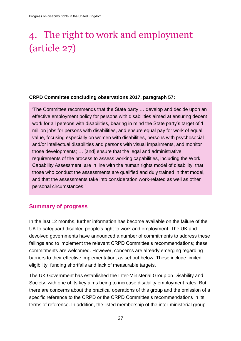# <span id="page-26-0"></span>4. The right to work and employment (article 27)

#### **CRPD Committee concluding observations 2017, paragraph 57:**

'The Committee recommends that the State party … develop and decide upon an effective employment policy for persons with disabilities aimed at ensuring decent work for all persons with disabilities, bearing in mind the State party's target of 1 million jobs for persons with disabilities, and ensure equal pay for work of equal value, focusing especially on women with disabilities, persons with psychosocial and/or intellectual disabilities and persons with visual impairments, and monitor those developments; … [and] ensure that the legal and administrative requirements of the process to assess working capabilities, including the Work Capability Assessment, are in line with the human rights model of disability, that those who conduct the assessments are qualified and duly trained in that model, and that the assessments take into consideration work-related as well as other personal circumstances.'

# <span id="page-26-1"></span>**Summary of progress**

In the last 12 months, further information has become available on the failure of the UK to safeguard disabled people's right to work and employment. The UK and devolved governments have announced a number of commitments to address these failings and to implement the relevant CRPD Committee's recommendations; these commitments are welcomed. However, concerns are already emerging regarding barriers to their effective implementation, as set out below. These include limited eligibility, funding shortfalls and lack of measurable targets.

The UK Government has established the Inter-Ministerial Group on Disability and Society, with one of its key aims being to increase disability employment rates. But there are concerns about the practical operations of this group and the omission of a specific reference to the CRPD or the CRPD Committee's recommendations in its terms of reference. In addition, the listed membership of the inter-ministerial group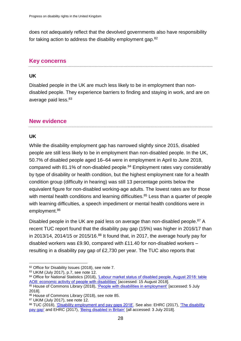does not adequately reflect that the devolved governments also have responsibility for taking action to address the disability employment gap.<sup>82</sup>

# <span id="page-27-0"></span>**Key concerns**

#### **UK**

Disabled people in the UK are much less likely to be in employment than nondisabled people. They experience barriers to finding and staying in work, and are on average paid less. 83

# <span id="page-27-1"></span>**New evidence**

#### **UK**

1

While the disability employment gap has narrowed slightly since 2015, disabled people are still less likely to be in employment than non-disabled people. In the UK, 50.7% of disabled people aged 16–64 were in employment in April to June 2018, compared with 81.1% of non-disabled people.<sup>84</sup> Employment rates vary considerably by type of disability or health condition, but the highest employment rate for a health condition group (difficulty in hearing) was still 13 percentage points below the equivalent figure for non-disabled working-age adults. The lowest rates are for those with mental health conditions and learning difficulties.<sup>85</sup> Less than a quarter of people with learning difficulties, a speech impediment or mental health conditions were in employment.<sup>86</sup>

Disabled people in the UK are paid less on average than non-disabled people.<sup>87</sup> A recent TUC report found that the disability pay gap (15%) was higher in 2016/17 than in 2013/14, 2014/15 or 2015/16. $88$  It found that, in 2017, the average hourly pay for disabled workers was £9.90, compared with £11.40 for non-disabled workers – resulting in a disability pay gap of £2,730 per year. The TUC also reports that

<sup>82</sup> Office for Disability Issues (2018), see note 7.

<sup>83</sup> UKIM (July 2017), p.7, see note 12.

<sup>84</sup> Office for National Statistics (2018), 'Labour market status of disabled people. August 2018: table [AO8: economic activity of people with disabilities'](https://www.ons.gov.uk/employmentandlabourmarket/peopleinwork/employmentandemployeetypes/datasets/labourmarketstatusofdisabledpeoplea08) [accessed: 15 August 2018].

<sup>85</sup> House of Commons Library (2018), ['People with disabilities in employment'](http://researchbriefings.parliament.uk/ResearchBriefing/Summary/CBP-7540) [accessed: 5 July 2018].

<sup>86</sup> House of Commons Library (2018), see note 85.

<sup>87</sup> UKIM (July 2017), see note 12.

<sup>88</sup> TUC (2018), ['Disability employment and pay gaps 2018'.](https://www.tuc.org.uk/sites/default/files/Disabilityemploymentandpaygaps.pdf) See also: EHRC (2017), 'The disability [pay gap'](https://www.equalityhumanrights.com/sites/default/files/research-report-107-the-disability-pay-gap.pdf) and EHRC (2017), ['Being disabled in Britain'](https://www.equalityhumanrights.com/en/disability-report-being-disabled-britain) [all accessed: 3 July 2018].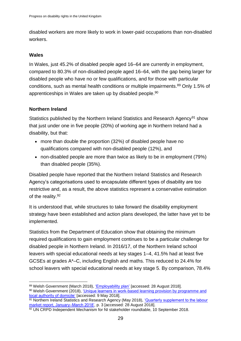disabled workers are more likely to work in lower-paid occupations than non-disabled workers.

# **Wales**

1

In Wales, just 45.2% of disabled people aged 16–64 are currently in employment, compared to 80.3% of non-disabled people aged 16–64, with the gap being larger for disabled people who have no or few qualifications, and for those with particular conditions, such as mental health conditions or multiple impairments. <sup>89</sup> Only 1.5% of apprenticeships in Wales are taken up by disabled people. 90

# **Northern Ireland**

Statistics published by the Northern Ireland Statistics and Research Agency<sup>91</sup> show that just under one in five people (20%) of working age in Northern Ireland had a disability, but that:

- more than double the proportion (32%) of disabled people have no qualifications compared with non-disabled people (12%), and
- non-disabled people are more than twice as likely to be in employment (79%) than disabled people (35%).

Disabled people have reported that the Northern Ireland Statistics and Research Agency's categorisations used to encapsulate different types of disability are too restrictive and, as a result, the above statistics represent a conservative estimation of the reality.<sup>92</sup>

It is understood that, while structures to take forward the disability employment strategy have been established and action plans developed, the latter have yet to be implemented.

Statistics from the Department of Education show that obtaining the minimum required qualifications to gain employment continues to be a particular challenge for disabled people in Northern Ireland. In 2016/17, of the Northern Ireland school leavers with special educational needs at key stages 1–4, 41.5% had at least five GCSEs at grades A\*–C, including English and maths. This reduced to 24.4% for school leavers with special educational needs at key stage 5. By comparison, 78.4%

<sup>89</sup> Welsh Government (March 2018), ['Employability](https://beta.gov.wales/employability-plan) plan' [accessed: 28 August 2018]. 90 Welsh Government (2018), 'Unique learners in work-based learning provision by programme and

[local authority of domicile'](https://statswales.gov.wales/Catalogue/Education-and-Skills/Post-16-Education-and-Training/Further-Education-and-Work-Based-Learning/Learners/Work-Based-Learning/uniquelearnersworkbasedlearning-by-programmetype-domicile) [accessed: 9 May 2018].

<sup>91</sup> Northern Ireland Statistics and Research Agency (May 2018), 'Quarterly supplement to the labour [market report, January–March 2018',](https://www.nisra.gov.uk/sites/nisra.gov.uk/files/publications/Quarterly-Supplement-to-the-Labour-Market-Report-JM18.PDF) p. 3 [accessed: 28 August 2018].

 $92$  UN CRPD Independent Mechanism for NI stakeholder roundtable, 10 September 2018.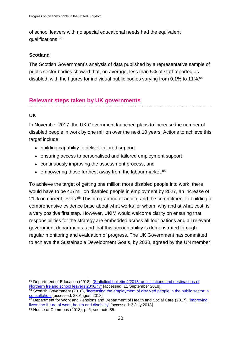of school leavers with no special educational needs had the equivalent qualifications.<sup>93</sup>

# **Scotland**

The Scottish Government's analysis of data published by a representative sample of public sector bodies showed that, on average, less than 5% of staff reported as disabled, with the figures for individual public bodies varying from 0.1% to 11%.<sup>94</sup>

# <span id="page-29-0"></span>**Relevant steps taken by UK governments**

# **UK**

In November 2017, the UK Government launched plans to increase the number of disabled people in work by one million over the next 10 years. Actions to achieve this target include:

- building capability to deliver tailored support
- ensuring access to personalised and tailored employment support
- continuously improving the assessment process, and
- empowering those furthest away from the labour market.  $95$

To achieve the target of getting one million more disabled people into work, there would have to be 4.5 million disabled people in employment by 2027, an increase of 21% on current levels.<sup>96</sup> This programme of action, and the commitment to building a comprehensive evidence base about what works for whom, why and at what cost, is a very positive first step. However, UKIM would welcome clarity on ensuring that responsibilities for the strategy are embedded across all four nations and all relevant government departments, and that this accountability is demonstrated through regular monitoring and evaluation of progress. The UK Government has committed to achieve the Sustainable Development Goals, by 2030, agreed by the UN member

<sup>1</sup> 93 Department of Education (2018), 'Statistical bulletin 4/2018: qualifications and destinations of [Northern Ireland school leavers 2016/17'](https://www.education-ni.gov.uk/sites/default/files/publications/education/qualifications-and-destinations-of-northern-ireland-school-leavers-20161.._.pdf) [accessed: 11 September 2018].

 $\frac{94}{94}$  Scottish Government (2018), 'Increasing the employment of disabled people in the public sector: a [consultation'](http://www.gov.scot/Resource/0053/00534799.pdf) [accessed: 28 August 2018].

 $\frac{95}{95}$  Department for Work and Pensions and Department of Health and Social Care (2017), 'Improving [lives: the future of work, health and disability'](https://www.gov.uk/government/publications/improving-lives-the-future-of-work-health-and-disability) [accessed: 3 July 2018].

<sup>96</sup> House of Commons (2018), p. 6, see note 85.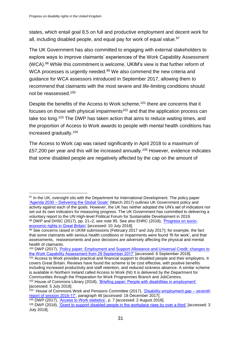states, which entail goal 8.5 on full and productive employment and decent work for all, including disabled people, and equal pay for work of equal value.  $97$ 

The UK Government has also committed to engaging with external stakeholders to explore ways to improve claimants' experiences of the Work Capability Assessment (WCA). <sup>98</sup> While this commitment is welcome, UKIM's view is that further reform of WCA processes is urgently needed.<sup>99</sup> We also commend the new criteria and guidance for WCA assessors introduced in September 2017, allowing them to recommend that claimants with the most severe and life-limiting conditions should not be reassessed.<sup>100</sup>

Despite the benefits of the Access to Work scheme,<sup>101</sup> there are concerns that it focuses on those with physical impairments<sup>102</sup> and that the application process can take too long.<sup>103</sup> The DWP has taken action that aims to reduce waiting times, and the proportion of Access to Work awards to people with mental health conditions has increased gradually.<sup>104</sup>

The Access to Work cap was raised significantly in April 2018 to a maximum of £57,200 per year and this will be increased annually.<sup>105</sup> However, evidence indicates that some disabled people are negatively affected by the cap on the amount of

<sup>1</sup> <sup>97</sup> In the UK, oversight sits with the Department for International Development. The policy paper 'Agenda 2030 – [Delivering the Global Goals'](https://www.gov.uk/government/publications/agenda-2030-delivering-the-global-goals) (March 2017) outlines UK Government policy and activity against each of the goals. However, the UK has neither adopted the UN's set of indicators nor set out its own indicators for measuring progress. The UK Government has committed to delivering a voluntary report to the UN High-level Political Forum for Sustainable Development in 2019. <sup>98</sup> DWP and DHSC (2017), pp. 21–2, see note 95. See also EHRC (2018), ['Progress on socio](https://www.equalityhumanrights.com/en/publication-download/progress-socio-economic-rights-great-britain)[economic rights in Great Britain'](https://www.equalityhumanrights.com/en/publication-download/progress-socio-economic-rights-great-britain) [accessed: 10 July 2018].

 $99$  See concerns raised in UKIM submissions (February 2017 and July 2017); for example, the fact that some claimants with serious health conditions or impairments were found 'fit for work', and that assessments, reassessments and poor decisions are adversely affecting the physical and mental health of claimants.

<sup>100</sup> DWP (2017), ['Policy paper: Employment and Support Allowance and Universal Credit: changes to](https://www.gov.uk/government/publications/employment-and-support-allowance-and-universal-credit-changes-to-the-work-capability-assessment/employment-and-support-allowance-and-universal-credit-changes-to-the-work-capability-assessment-from-29-september-2017)  [the Work Capability Assessment from 29 September 2017'](https://www.gov.uk/government/publications/employment-and-support-allowance-and-universal-credit-changes-to-the-work-capability-assessment/employment-and-support-allowance-and-universal-credit-changes-to-the-work-capability-assessment-from-29-september-2017) [accessed: 6 September 2018].

<sup>101</sup> Access to Work provides practical and financial support to disabled people and their employers. It covers Great Britain. Reviews have found the scheme to be cost effective, with positive benefits including increased productivity and staff retention, and reduced sickness absence. A similar scheme is available in Northern Ireland called Access to Work (NI) It is delivered by the Department for Communities through the Preparation for Work Programmes Branch and JobCentres.

<sup>102</sup> House of Commons Library (2018), ['Briefing paper: People with disabilities in employment'](http://researchbriefings.parliament.uk/ResearchBriefing/Summary/CBP-7540) [accessed: 5 July 2018].

<sup>&</sup>lt;sup>103</sup> House of Commons Work and Pensions Committee (2017), ['Disability employment gap –](https://publications.parliament.uk/pa/cm201617/cmselect/cmworpen/56/5602.htm) seventh [report of session 2016-17',](https://publications.parliament.uk/pa/cm201617/cmselect/cmworpen/56/5602.htm) paragraph 46 [accessed: 18 December 2017].

<sup>104</sup> DWP (2017), ['Access to Work statistics',](https://www.gov.uk/government/statistics/access-to-work-statistics) p. 7 [accessed: 2 August 2018].

<sup>105</sup> DWP (2018), ['Grant to support disabled people in the workplace rises by over a third'](https://www.gov.uk/government/news/grant-to-support-disabled-people-in-the-workplace-rises-by-over-a-third) [accessed: 3 July 2018].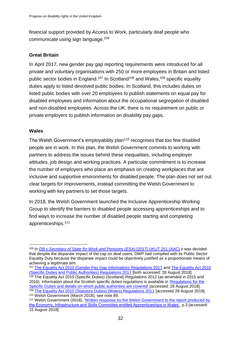financial support provided by Access to Work, particularly deaf people who communicate using sign language.<sup>106</sup>

# **Great Britain**

In April 2017, new gender pay gap reporting requirements were introduced for all private and voluntary organisations with 250 or more employees in Britain and listed public sector bodies in England.<sup>107</sup> In Scotland<sup>108</sup> and Wales,<sup>109</sup> specific equality duties apply to listed devolved public bodies. In Scotland, this includes duties on listed public bodies with over 20 employees to publish statements on equal pay for disabled employees and information about the occupational segregation of disabled and non-disabled employees. Across the UK, there is no requirement on public or private employers to publish information on disability pay gaps.

# **Wales**

The Welsh Government's employability plan<sup>110</sup> recognises that too few disabled people are in work. In this plan, the Welsh Government commits to working with partners to address the issues behind these inequalities, including employer attitudes, job design and working practices. A particular commitment is to increase the number of employers who place an emphasis on creating workplaces that are inclusive and supportive environments for disabled people. The plan does not set out clear targets for improvements, instead committing the Welsh Government to working with key partners to set those targets.

In 2018, the Welsh Government launched the Inclusive Apprenticeship Working Group to identify the barriers to disabled people accessing apprenticeships and to find ways to increase the number of disabled people starting and completing apprenticeships.<sup>111</sup>

<sup>110</sup> Welsh Government (March 2018), see note 89.

<sup>106</sup> In *[DB v Secretary of State for Work and Pensions \(ESA\)](https://www.gov.uk/administrative-appeals-tribunal-decisions/db-v-secretary-of-state-for-work-and-pensions-esa-2017-ukut-251-aac)* [2017] UKUT 251 (AAC) it was decided that despite the disparate impact of the cap on deaf users, DWP had complied with its Public Sector Equality Duty because the disparate impact could be objectively justified as a proportionate means of achieving a legitimate aim.

<sup>107</sup> [The Equality Act 2010 \(Gender Pay Gap Information\) Regulations 2017](https://www.legislation.gov.uk/ukdsi/2017/9780111152010) and [The Equality Act 2010](https://www.legislation.gov.uk/ukdsi/2017/9780111153277/contents)  [\(Specific Duties and Public Authorities\) Regulations 2017](https://www.legislation.gov.uk/ukdsi/2017/9780111153277/contents) [both accessed: 28 August 2018].

<sup>&</sup>lt;sup>108</sup> The Equality Act 2010 (Specific Duties) (Scotland) Regulations 2012 (as amended in 2015 and 2016). Information about the Scottish specific duties regulations is available in ['Regulations for the](https://www.equalityhumanrights.com/en/public-sector-equality-duty-scotland/regulations-specific-duties-and-details-which-public)  [Specific Duties and details on which public authorities are covered'](https://www.equalityhumanrights.com/en/public-sector-equality-duty-scotland/regulations-specific-duties-and-details-which-public) [accessed: 28 August 2018]. <sup>109</sup> [The Equality Act 2010 \(Statutory Duties\) \(Wales\) Regulations 2011](http://www.legislation.gov.uk/wsi/2011/1064/contents/made) [accessed 28 August 2018].

<sup>111</sup> Welsh Government (2018), ['Written response by the Welsh Government to the report produced by](http://www.assembly.wales/laid%20documents/gen-ld11529/gen-ld11529-e.pdf)  [the Economy, Infrastructure and Skills Committee entitled Apprenticeships in Wales',](http://www.assembly.wales/laid%20documents/gen-ld11529/gen-ld11529-e.pdf) p.3 [accessed: 15 August 2018].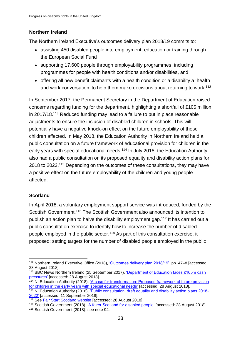# **Northern Ireland**

The Northern Ireland Executive's outcomes delivery plan 2018/19 commits to:

- assisting 450 disabled people into employment, education or training through the European Social Fund
- supporting 17,600 people through employability programmes, including programmes for people with health conditions and/or disabilities, and
- offering all new benefit claimants with a health condition or a disability a 'health and work conversation' to help them make decisions about returning to work.<sup>112</sup>

In September 2017, the Permanent Secretary in the Department of Education raised concerns regarding funding for the department, highlighting a shortfall of £105 million in 2017/18.<sup>113</sup> Reduced funding may lead to a failure to put in place reasonable adjustments to ensure the inclusion of disabled children in schools. This will potentially have a negative knock-on effect on the future employability of those children affected. In May 2018, the Education Authority in Northern Ireland held a public consultation on a future framework of educational provision for children in the early years with special educational needs.<sup>114</sup> In July 2018, the Education Authority also had a public consultation on its proposed equality and disability action plans for 2018 to 2022.<sup>115</sup> Depending on the outcomes of these consultations, they may have a positive effect on the future employability of the children and young people affected.

# **Scotland**

1

In April 2018, a voluntary employment support service was introduced, funded by the Scottish Government.<sup>116</sup> The Scottish Government also announced its intention to publish an action plan to halve the disability employment gap.<sup>117</sup> It has carried out a public consultation exercise to identify how to increase the number of disabled people employed in the public sector. <sup>118</sup> As part of this consultation exercise, it proposed: setting targets for the number of disabled people employed in the public

<sup>112</sup> Northern Ireland Executive Office (2018), ['Outcomes delivery plan 2018/19',](https://www.executiveoffice-ni.gov.uk/publications/outcomes-delivery-plan-201819) pp. 47–8 [accessed: 28 August 2018].

<sup>&</sup>lt;sup>113</sup> BBC News Northern Ireland (25 September 2017), 'Department of Education faces £105m cash [pressures'](https://www.bbc.co.uk/news/uk-northern-ireland-41392511) [accessed: 28 August 2018].

<sup>&</sup>lt;sup>114</sup> NI Education Authority (2018), ['A case for transformation: Proposed](http://www.eani.org.uk/EasySiteWeb/GatewayLink.aspx?alId=73166) framework of future provision [for children in the early years with special educational needs'](http://www.eani.org.uk/EasySiteWeb/GatewayLink.aspx?alId=73166) [accessed: 28 August 2018].

<sup>&</sup>lt;sup>115</sup> NI Education Authority (2018), ['Public consultation: draft equality and disability action plans 2018-](http://www.eani.org.uk/about-us/consultations/previous-consultations/public-consultation-draft-equality-and-disability-action-plans-2018-2022/) [2022'](http://www.eani.org.uk/about-us/consultations/previous-consultations/public-consultation-draft-equality-and-disability-action-plans-2018-2022/) [accessed: 11 September 2018].

<sup>&</sup>lt;sup>116</sup> See [Fair Start Scotland website](http://www.employabilityinscotland.com/devolved-employment-services/fair-start-scotland/) [accessed: 28 August 2018].

<sup>117</sup> Scottish Government (2018), ['A fairer Scotland for disabled people'](https://www.gov.scot/Publications/2018/04/8679/0) [accessed: 28 August 2018].

<sup>118</sup> Scottish Government (2018), see note 94.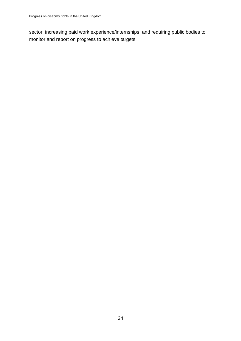<span id="page-33-0"></span>sector; increasing paid work experience/internships; and requiring public bodies to monitor and report on progress to achieve targets.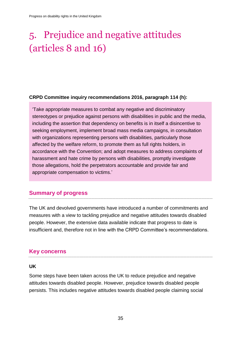# 5. Prejudice and negative attitudes (articles 8 and 16)

#### **CRPD Committee inquiry recommendations 2016, paragraph 114 (h):**

'Take appropriate measures to combat any negative and discriminatory stereotypes or prejudice against persons with disabilities in public and the media, including the assertion that dependency on benefits is in itself a disincentive to seeking employment, implement broad mass media campaigns, in consultation with organizations representing persons with disabilities, particularly those affected by the welfare reform, to promote them as full rights holders, in accordance with the Convention; and adopt measures to address complaints of harassment and hate crime by persons with disabilities, promptly investigate those allegations, hold the perpetrators accountable and provide fair and appropriate compensation to victims.'

# <span id="page-34-0"></span>**Summary of progress**

The UK and devolved governments have introduced a number of commitments and measures with a view to tackling prejudice and negative attitudes towards disabled people. However, the extensive data available indicate that progress to date is insufficient and, therefore not in line with the CRPD Committee's recommendations.

# <span id="page-34-1"></span>**Key concerns**

#### **UK**

Some steps have been taken across the UK to reduce prejudice and negative attitudes towards disabled people. However, prejudice towards disabled people persists. This includes negative attitudes towards disabled people claiming social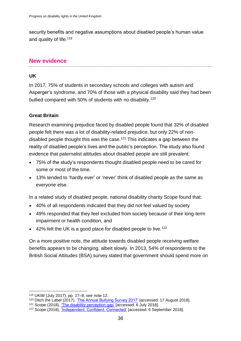security benefits and negative assumptions about disabled people's human value and quality of life.<sup>119</sup>

# <span id="page-35-0"></span>**New evidence**

# **UK**

In 2017, 75% of students in secondary schools and colleges with autism and Asperger's syndrome, and 70% of those with a physical disability said they had been bullied compared with 50% of students with no disability.<sup>120</sup>

# **Great Britain**

Research examining prejudice faced by disabled people found that 32% of disabled people felt there was a lot of disability-related prejudice, but only 22% of nondisabled people thought this was the case. <sup>121</sup> This indicates a gap between the reality of disabled people's lives and the public's perception. The study also found evidence that paternalist attitudes about disabled people are still prevalent:

- 75% of the study's respondents thought disabled people need to be cared for some or most of the time.
- 13% tended to 'hardly ever' or 'never' think of disabled people as the same as everyone else.

In a related study of disabled people, national disability charity Scope found that:

- 40% of all respondents indicated that they did not feel valued by society
- 49% responded that they feel excluded from society because of their long-term impairment or health condition, and
- $\bullet$  42% felt the UK is a good place for disabled people to live.<sup>122</sup>

On a more positive note, the attitude towards disabled people receiving welfare benefits appears to be changing, albeit slowly. In 2013, 54% of respondents to the British Social Attitudes (BSA) survey stated that government should spend more on

1

<sup>119</sup> UKIM (July 2017), pp. 17–8, see note 12.

<sup>120</sup> Ditch the Label (2017), ['The Annual Bullying Survey 2017'](https://www.ditchthelabel.org/research-papers/the-annual-bullying-survey-2017/) [accessed: 17 August 2018].

<sup>&</sup>lt;sup>121</sup> Scope (2018), ['The disability perception gap'](https://www.scope.org.uk/about-us/research-policy/disability-perception-gap) [accessed: 6 July 2018].

<sup>122</sup> Scope (2018), ['Independent. Confident. Connected'](https://www.scope.org.uk/campaigns/gamechanger/independent-confident-connected) [accessed: 6 September 2018].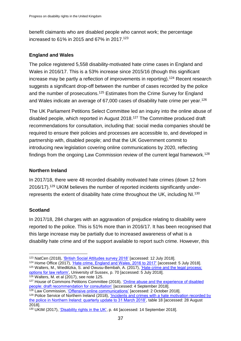benefit claimants who are disabled people who cannot work; the percentage increased to 61% in 2015 and 67% in 2017.<sup>123</sup>

# **England and Wales**

The police registered 5,558 disability-motivated hate crime cases in England and Wales in 2016/17. This is a 53% increase since 2015/16 (though this significant increase may be partly a reflection of improvements in reporting).<sup>124</sup> Recent research suggests a significant drop-off between the number of cases recorded by the police and the number of prosecutions.<sup>125</sup> Estimates from the Crime Survey for England and Wales indicate an average of 67,000 cases of disability hate crime per year.<sup>126</sup>

The UK Parliament Petitions Select Committee led an inquiry into the online abuse of disabled people, which reported in August 2018.<sup>127</sup> The Committee produced draft recommendations for consultation, including that: social media companies should be required to ensure their policies and processes are accessible to, and developed in partnership with, disabled people; and that the UK Government commit to introducing new legislation covering online communications by 2020, reflecting findings from the ongoing Law Commission review of the current legal framework.<sup>128</sup>

# **Northern Ireland**

In 2017/18, there were 48 recorded disability motivated hate crimes (down 12 from 2016/17).<sup>129</sup> UKIM believes the number of reported incidents significantly underrepresents the extent of disability hate crime throughout the UK, including NI.<sup>130</sup>

# **Scotland**

In 2017/18, 284 charges with an aggravation of prejudice relating to disability were reported to the police. This is 51% more than in 2016/17. It has been recognised that this large increase may be partially due to increased awareness of what is a disability hate crime and of the support available to report such crime. However, this

 $\overline{a}$ <sup>123</sup> NatCen (2018), ['British Social Attitudes survey 2018'](http://www.bsa.natcen.ac.uk/latest-report/british-social-attitudes-35/work-and-welfare.aspx) [accessed: 12 July 2018].

<sup>124</sup> Home Office (2017), ['Hate crime, England and Wales, 2016 to 2017'](https://www.gov.uk/government/statistics/hate-crime-england-and-wales-2016-to-2017) [accessed: 5 July 2018].

<sup>125</sup> Walters, M., Wiedlitzka, S. and Owusu-Bembah, A. (2017), ['Hate crime and the legal process:](http://sro.sussex.ac.uk/70598/)  [options for law reform',](http://sro.sussex.ac.uk/70598/) University of Sussex, p. 70 [accessed: 5 July 2018].  $126$  Walters, M. et al (2017), see note 125.

<sup>127</sup> House of Commons Petitions Committee (2018), ['Online abuse and the experience of disabled](https://publications.parliament.uk/pa/cm201719/cmselect/cmpetitions/1459/145902.htm)  [people: draft recommendation for consultation'](https://publications.parliament.uk/pa/cm201719/cmselect/cmpetitions/1459/145902.htm) [accessed: 4 September 2018].

<sup>&</sup>lt;sup>128</sup> Law Commission, ['Offensive online communications'](https://www.lawcom.gov.uk/project/offensive-online-communications/) [accessed: 2 October 2018].

<sup>&</sup>lt;sup>129</sup> Police Service of Northern Ireland (2018), 'Incidents and crimes with a hate motivation recorded by [the police in Northern Ireland: quarterly update to 31 March 2018',](https://www.psni.police.uk/globalassets/inside-the-psni/our-statistics/hate-motivation-statistics/2017-18/quarterly-hate-motivations-bulletin-period-ending-mar18.pdf) table 18 [accessed: 28 August 2018].

<sup>&</sup>lt;sup>130</sup> UKIM (2017), ['Disability rights in the UK',](https://www.equalityhumanrights.com/sites/default/files/crpd-shadow-report-august-2017.pdf) p. 44 [accessed: 14 September 2018].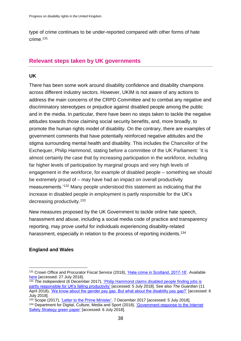type of crime continues to be under-reported compared with other forms of hate crime.<sup>131</sup>

# <span id="page-37-0"></span>**Relevant steps taken by UK governments**

# **UK**

There has been some work around disability confidence and disability champions across different industry sectors. However, UKIM is not aware of any actions to address the main concerns of the CRPD Committee and to combat any negative and discriminatory stereotypes or prejudice against disabled people among the public and in the media. In particular, there have been no steps taken to tackle the negative attitudes towards those claiming social security benefits, and, more broadly, to promote the human rights model of disability. On the contrary, there are examples of government comments that have potentially reinforced negative attitudes and the stigma surrounding mental health and disability. This includes the Chancellor of the Exchequer, Philip Hammond, stating before a committee of the UK Parliament: 'It is almost certainly the case that by increasing participation in the workforce, including far higher levels of participation by marginal groups and very high levels of engagement in the workforce, for example of disabled people – something we should be extremely proud of – may have had an impact on overall productivity measurements.'<sup>132</sup> Many people understood this statement as indicating that the increase in disabled people in employment is partly responsible for the UK's decreasing productivity.<sup>133</sup>

New measures proposed by the UK Government to tackle online hate speech, harassment and abuse, including a social media code of practice and transparency reporting, may prove useful for individuals experiencing disability-related harassment, especially in relation to the process of reporting incidents.<sup>134</sup>

# **England and Wales**

<sup>1</sup> <sup>131</sup> Crown Office and Procurator Fiscal Service (2018), ['Hate crime in Scotland, 2017-18'.](http://www.copfs.gov.uk/media-site/media-releases/1765-hate-crime-in-scotland-2017-18) Available [here](http://www.copfs.gov.uk/media-site/media-releases/1765-hate-crime-in-scotland-2017-18) [accessed: 27 July 2018].

<sup>132</sup> *The Independent* (6 December 2017), ['Philip Hammond claims disabled people finding jobs is](https://www.independent.co.uk/news/uk/politics/hammond-disabled-people-productivity-finding-jobs-employment-effect-comments-a8095851.html)  [partly responsible for UK's falling productivity'](https://www.independent.co.uk/news/uk/politics/hammond-disabled-people-productivity-finding-jobs-employment-effect-comments-a8095851.html) [accessed: 5 July 2018]. See also *The Guardian* (11 April 2018), ['We know about the gender pay gap. But what about the disability pay gap?'](https://www.theguardian.com/commentisfree/2018/apr/11/gender-pay-gap-disability-disabled-people-job) [accessed: 6 July 2018].

<sup>133</sup> Scope (2017), ['Letter to the Prime Minister',](https://www.scope.org.uk/About-Us/Media/Press-releases/December-2017/Our-letter-to-Theresa-May) 7 December 2017 [accessed: 5 July 2018].

<sup>134</sup> Department for Digital, Culture, Media and Sport (2018), ['Government response to the Internet](https://assets.publishing.service.gov.uk/government/uploads/system/uploads/attachment_data/file/708873/Government_Response_to_the_Internet_Safety_Strategy_Green_Paper_-_Final.pdf)  [Safety Strategy green paper'](https://assets.publishing.service.gov.uk/government/uploads/system/uploads/attachment_data/file/708873/Government_Response_to_the_Internet_Safety_Strategy_Green_Paper_-_Final.pdf) [accessed: 6 July 2018].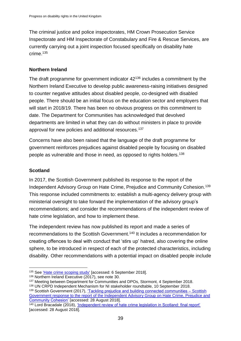The criminal justice and police inspectorates, HM Crown Prosecution Service Inspectorate and HM Inspectorate of Constabulary and Fire & Rescue Services, are currently carrying out a joint inspection focused specifically on disability hate crime.<sup>135</sup>

# **Northern Ireland**

The draft programme for government indicator  $42^{136}$  includes a commitment by the Northern Ireland Executive to develop public awareness-raising initiatives designed to counter negative attitudes about disabled people, co-designed with disabled people. There should be an initial focus on the education sector and employers that will start in 2018/19. There has been no obvious progress on this commitment to date. The Department for Communities has acknowledged that devolved departments are limited in what they can do without ministers in place to provide approval for new policies and additional resources.<sup>137</sup>

Concerns have also been raised that the language of the draft programme for government reinforces prejudices against disabled people by focusing on disabled people as vulnerable and those in need, as opposed to rights holders.<sup>138</sup>

# **Scotland**

In 2017, the Scottish Government published its response to the report of the Independent Advisory Group on Hate Crime, Prejudice and Community Cohesion.<sup>139</sup> This response included commitments to: establish a multi-agency delivery group with ministerial oversight to take forward the implementation of the advisory group's recommendations; and consider the recommendations of the independent review of hate crime legislation, and how to implement these.

The independent review has now published its report and made a series of recommendations to the Scottish Government.<sup>140</sup> It includes a recommendation for creating offences to deal with conduct that 'stirs up' hatred, also covering the online sphere, to be introduced in respect of each of the protected characteristics, including disability. Other recommendations with a potential impact on disabled people include

<sup>1</sup> 135 See Hate crime scoping study' [accessed: 6 September 2018].

<sup>136</sup> Northern Ireland Executive (2017), see note 30.

<sup>137</sup> Meeting between Department for Communities and DPOs, Stormont, 4 September 2018.

<sup>138</sup> UN CRPD Independent Mechanism for NI stakeholder roundtable, 10 September 2018.

<sup>139</sup> Scottish Government (2017), ['Tackling prejudice and building connected communities –](https://www.gov.scot/Publications/2017/06/1336/0) Scottish [Government response to the report of the Independent Advisory Group on Hate Crime, Prejudice and](https://www.gov.scot/Publications/2017/06/1336/0)  [Community Cohesion'](https://www.gov.scot/Publications/2017/06/1336/0) [accessed: 28 August 2018].

<sup>140</sup> Lord Bracadale (2018), ['Independent review of hate crime legislation in Scotland: final report'](https://www.gov.scot/Publications/2018/05/2988) [accessed: 28 August 2018].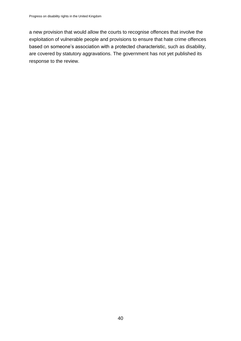a new provision that would allow the courts to recognise offences that involve the exploitation of vulnerable people and provisions to ensure that hate crime offences based on someone's association with a protected characteristic, such as disability, are covered by statutory aggravations. The government has not yet published its response to the review.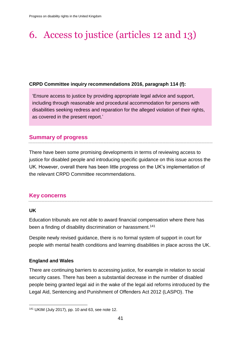# <span id="page-40-0"></span>6. Access to justice (articles 12 and 13)

### **CRPD Committee inquiry recommendations 2016, paragraph 114 (f):**

'Ensure access to justice by providing appropriate legal advice and support, including through reasonable and procedural accommodation for persons with disabilities seeking redress and reparation for the alleged violation of their rights, as covered in the present report.'

# <span id="page-40-1"></span>**Summary of progress**

There have been some promising developments in terms of reviewing access to justice for disabled people and introducing specific guidance on this issue across the UK. However, overall there has been little progress on the UK's implementation of the relevant CRPD Committee recommendations.

# <span id="page-40-2"></span>**Key concerns**

#### **UK**

Education tribunals are not able to award financial compensation where there has been a finding of disability discrimination or harassment.<sup>141</sup>

Despite newly revised guidance, there is no formal system of support in court for people with mental health conditions and learning disabilities in place across the UK.

#### **England and Wales**

There are continuing barriers to accessing justice, for example in relation to social security cases. There has been a substantial decrease in the number of disabled people being granted legal aid in the wake of the legal aid reforms introduced by the Legal Aid, Sentencing and Punishment of Offenders Act 2012 (LASPO). The

<sup>1</sup> <sup>141</sup> UKIM (July 2017), pp. 10 and 63, see note 12.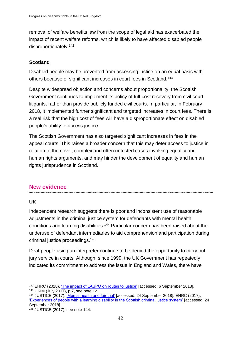removal of welfare benefits law from the scope of legal aid has exacerbated the impact of recent welfare reforms, which is likely to have affected disabled people disproportionately.<sup>142</sup>

# **Scotland**

Disabled people may be prevented from accessing justice on an equal basis with others because of significant increases in court fees in Scotland.<sup>143</sup>

Despite widespread objection and concerns about proportionality, the Scottish Government continues to implement its policy of full-cost recovery from civil court litigants, rather than provide publicly funded civil courts. In particular, in February 2018, it implemented further significant and targeted increases in court fees. There is a real risk that the high cost of fees will have a disproportionate effect on disabled people's ability to access justice.

The Scottish Government has also targeted significant increases in fees in the appeal courts. This raises a broader concern that this may deter access to justice in relation to the novel, complex and often untested cases involving equality and human rights arguments, and may hinder the development of equality and human rights jurisprudence in Scotland.

# <span id="page-41-0"></span>**New evidence**

#### **UK**

Independent research suggests there is poor and inconsistent use of reasonable adjustments in the criminal justice system for defendants with mental health conditions and learning disabilities.<sup>144</sup> Particular concern has been raised about the underuse of defendant intermediaries to aid comprehension and participation during criminal justice proceedings.<sup>145</sup>

Deaf people using an interpreter continue to be denied the opportunity to carry out jury service in courts. Although, since 1999, the UK Government has repeatedly indicated its commitment to address the issue in England and Wales, there have

<sup>142</sup> EHRC (2018), *The impact of LASPO on routes to justice'* [accessed: 6 September 2018]. <sup>143</sup> UKIM (July 2017), p 7, see note 12.

<sup>144</sup> JUSTICE (2017), ['Mental health and fair trial'](https://justice.org.uk/our-work/areas-of-work/criminal-justice-system/mental-health-fair-trial/) [accessed: 24 September 2018]. EHRC (2017), ['Experiences of people with a learning disability in the Scottish criminal justice system'](https://www.equalityhumanrights.com/en/publication-download/experiences-people-learning-disability-scottish-criminal-justice-system) [accessed: 24 September 2018].

<sup>145</sup> JUSTICE (2017), see note 144.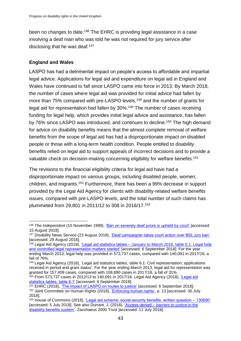been no changes to date.<sup>146</sup> The EHRC is providing legal assistance in a case involving a deaf man who was told he was not required for jury service after disclosing that he was deaf.<sup>147</sup>

#### **England and Wales**

LASPO has had a detrimental impact on people's access to affordable and impartial legal advice. Applications for legal aid and expenditure on legal aid in England and Wales have continued to fall since LASPO came into force in 2013. By March 2018, the number of cases where legal aid was provided for initial advice had fallen by more than 75% compared with pre-LASPO levels,<sup>148</sup> and the number of grants for legal aid for representation had fallen by 30%.<sup>149</sup> The number of cases receiving funding for legal help, which provides initial legal advice and assistance, has fallen by 76% since LASPO was introduced, and continues to decline.<sup>150</sup> The high demand for advice on disability benefits means that the almost complete removal of welfare benefits from the scope of legal aid has had a disproportionate impact on disabled people or those with a long-term health condition. People entitled to disability benefits relied on legal aid to support appeals of incorrect decisions and to provide a valuable check on decision-making concerning eligibility for welfare benefits.<sup>151</sup>

The revisions to the financial eligibility criteria for legal aid have had a disproportionate impact on various groups, including disabled people, women, children, and migrants.<sup>152</sup> Furthermore, there has been a 99% decrease in support provided by the Legal Aid Agency for clients with disability-related welfare benefits issues, compared with pre-LASPO levels, and the total number of such claims has plummeted from 29,801 in 2011/12 to 308 in 2016/17.<sup>153</sup>

<sup>146</sup> *The Independent* (10 November 1999), ['Ban on severely deaf jurors is upheld by court'](https://www.independent.co.uk/news/ban-on-severely-deaf-jurors-is-upheld-by-court-1124754.html) [accessed: 15 August 2018].

<sup>&</sup>lt;sup>147</sup> Disability News Service (23 August 2018), ['Deaf campaigner takes court action over BSL jury ban'](https://www.disabilitynewsservice.com/deaf-campaigner-takes-court-action-over-bsl-jury-ban/) [accessed: 29 August 2018].

<sup>148</sup> Legal Aid Agency (2018), ['Legal aid statistics tables – January to March 2018, table 5.1: Legal help](https://www.gov.uk/government/statistics/legal-aid-statistics-january-to-march-2018)  [and controlled legal representation matters started'](https://www.gov.uk/government/statistics/legal-aid-statistics-january-to-march-2018) [accessed: 6 September 2018]. For the year ending March 2013, legal help was provided in 573,737 cases, compared with 140,091 in 2017/18, a fall of 76%.

<sup>149</sup> Legal Aid Agency (2018), 'Legal aid statistics tables, table 6.1: Civil representation, applications received in period and grant status'. For the year ending March 2013, legal aid for representation was granted for 157,409 cases, compared with 108,890 cases in 2017/18, a fall of 31%.

 $150$  From 573,737 cases in 2012/13 to 140,091 in 2017/18. Legal Aid Agency (2018), 'Legal aid [statistics tables, table 6.1'](https://www.gov.uk/government/statistics/legal-aid-statistics-january-to-march-2018) [accessed: 6 September 2018].

<sup>&</sup>lt;sup>151</sup> EHRC (2018), ['The impact of LASPO on routes to justice'](https://www.equalityhumanrights.com/en/publication-download/impact-laspo-routes-justice) [accessed: 6 September 2018].

<sup>152</sup> Joint Committee on Human Rights (2018), ['Enforcing human rights',](https://www.parliament.uk/business/committees/committees-a-z/joint-select/human-rights-committee/inquiries/parliament-2017/defending-rights-17-19/) p. 13 [accessed: 30 July 2018].

<sup>153</sup> House of Commons (2018), ['Legal aid scheme: social security benefits: written question –](https://www.parliament.uk/business/publications/written-questions-answers-statements/written-question/Commons/2018-03-01/130690/) 130690' [accessed: 5 July 2018]. See also Durrant, J. (2018), ['Access denied – barriers to justice in the](https://www.z2k.org/news/z2k-publishes-new-report-on-disability-benefits)  [disability benefits system'.](https://www.z2k.org/news/z2k-publishes-new-report-on-disability-benefits) Zacchaeus 2000 Trust [accessed: 11 July 2018].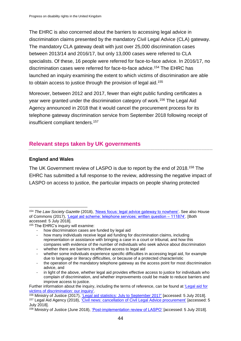The EHRC is also concerned about the barriers to accessing legal advice in discrimination claims presented by the mandatory Civil Legal Advice (CLA) gateway. The mandatory CLA gateway dealt with just over 25,000 discrimination cases between 2013/14 and 2016/17, but only 13,000 cases were referred to CLA specialists. Of these, 16 people were referred for face-to-face advice. In 2016/17, no discrimination cases were referred for face-to-face advice.<sup>154</sup> The EHRC has launched an inquiry examining the extent to which victims of discrimination are able to obtain access to justice through the provision of legal aid.<sup>155</sup>

Moreover, between 2012 and 2017, fewer than eight public funding certificates a year were granted under the discrimination category of work.<sup>156</sup> The Legal Aid Agency announced in 2018 that it would cancel the procurement process for its telephone gateway discrimination service from September 2018 following receipt of insufficient compliant tenders.<sup>157</sup>

# <span id="page-43-0"></span>**Relevant steps taken by UK governments**

# **England and Wales**

The UK Government review of LASPO is due to report by the end of 2018.<sup>158</sup> The EHRC has submitted a full response to the review, addressing the negative impact of LASPO on access to justice, the particular impacts on people sharing protected

whether there are barriers to effective access to legal aid

<sup>154</sup> *The Law Society Gazette* (2018), ['News focus: legal advice gateway to nowhere'.](https://www.lawgazette.co.uk/news-focus/gateway-to-nowhere/5064854.article) See also House of Commons (2017), ['Legal aid scheme: telephone services: written question –](https://www.parliament.uk/business/publications/written-questions-answers-statements/written-question/Commons/2017-11-07/111874/) 111874'. [Both accessed: 5 July 2018].

<sup>155</sup> The EHRC's inquiry will examine:

<sup>-</sup> how discrimination cases are funded by legal aid

how many individuals receive legal aid funding for discrimination claims, including representation or assistance with bringing a case in a court or tribunal, and how this compares with evidence of the number of individuals who seek advice about discrimination

whether some individuals experience specific difficulties in accessing legal aid, for example due to language or literacy difficulties, or because of a protected characteristic

the operation of the mandatory telephone gateway as the access point for most discrimination advice, and

in light of the above, whether legal aid provides effective access to justice for individuals who complain of discrimination, and whether improvements could be made to reduce barriers and improve access to justice.

Further information about the inquiry, including the terms of reference, can be found at ['Legal aid for](https://www.equalityhumanrights.com/en/our-legal-action/inquiries-and-investigations/legal-aid-victims-discrimination-our-inquiry/)  [victims of discrimination: our inquiry'.](https://www.equalityhumanrights.com/en/our-legal-action/inquiries-and-investigations/legal-aid-victims-discrimination-our-inquiry/)

<sup>156</sup> Ministry of Justice (2017), ['Legal aid statistics: July to September 2017'](https://www.gov.uk/government/statistics/legal-aid-statistics-july-to-september-2017) [accessed: 5 July 2018].

<sup>157</sup> Legal Aid Agency (2018), ['Civil news: cancellation of Civil Legal Advice procurement'](https://www.gov.uk/government/news/civil-news-cancellation-of-civil-legal-advice-procurement) [accessed: 5 July 2018].

<sup>158</sup> Ministry of Justice (June 2018), ['Post-implementation review of LASPO'](https://www.gov.uk/government/publications/post-implementation-review-of-laspo) [accessed: 5 July 2018].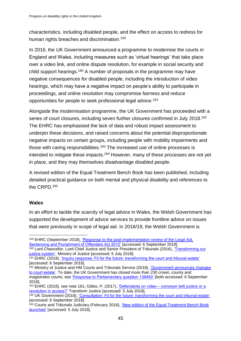characteristics, including disabled people, and the effect on access to redress for human rights breaches and discrimination.<sup>159</sup>

In 2016, the UK Government announced a programme to modernise the courts in England and Wales, including measures such as 'virtual hearings' that take place over a video link, and online dispute resolution, for example in social security and child support hearings.<sup>160</sup> A number of proposals in the programme may have negative consequences for disabled people, including the introduction of video hearings, which may have a negative impact on people's ability to participate in proceedings, and online resolution may compromise fairness and reduce opportunities for people to seek professional legal advice.<sup>161</sup>

Alongside the modernisation programme, the UK Government has proceeded with a series of court closures, including seven further closures confirmed in July 2018.<sup>162</sup> The EHRC has emphasised the lack of data and robust impact assessment to underpin these decisions, and raised concerns about the potential disproportionate negative impacts on certain groups, including people with mobility impairments and those with caring responsibilities.<sup>163</sup> The increased use of online processes is intended to mitigate these impacts.<sup>164</sup> However, many of these processes are not yet in place, and they may themselves disadvantage disabled people.

A revised edition of the Equal Treatment Bench Book has been published, including detailed practical guidance on both mental and physical disability and references to the CRPD.<sup>165</sup>

# **Wales**

In an effort to tackle the scarcity of legal advice in Wales, the Welsh Government has supported the development of advice services to provide frontline advice on issues that were previously in scope of legal aid. In 2018/19, the Welsh Government is

<sup>159</sup> EHRC (September 2018), ['Response to the post-implementation review of the Legal Aid,](https://www.equalityhumanrights.com/en/legal-responses/consultation-responses)  [Sentencing and Punishment of Offenders Act 2012'](https://www.equalityhumanrights.com/en/legal-responses/consultation-responses) [accessed: 6 September 2018].

<sup>160</sup> Lord Chancellor, Lord Chief Justice and Senior President of Tribunals (2016), 'Transforming our [justice system'.](https://www.gov.uk/government/publications/transforming-our-justice-system-joint-statement) Ministry of Justice [accessed: 5 July 2018].

<sup>161</sup> EHRC (2018), *'Inquiry response: Fit for the future: transforming the court and tribunal estate'* [accessed: 6 September 2018].

<sup>&</sup>lt;sup>162</sup> Ministry of Justice and HM Courts and Tribunals Service (2018), 'Government announces changes [to court estate'.](https://www.gov.uk/government/news/government-announces-changes-to-court-estate) To date, the UK Government has closed more than 230 crown, county and magistrates courts; see ['Response to Parliamentary question 136450'](https://www.parliament.uk/business/publications/written-questions-answers-statements/written-question/Commons/2018-04-18/136450) [both accessed: 6 September 2018].

<sup>163</sup> EHRC (2018), see note 161; Gibbs, P. (2017), 'Defendants on video – [conveyor belt justice or a](http://www.transformjustice.org.uk/wp-content/uploads/2017/10/Disconnected-Thumbnail-2.pdf)  [revolution in access?'](http://www.transformjustice.org.uk/wp-content/uploads/2017/10/Disconnected-Thumbnail-2.pdf) Transform Justice [accessed: 5 July 2018].

<sup>164</sup> UK Government (2018), ['Consultation: Fit for the future: transforming the court and tribunal estate'](https://www.gov.uk/government/consultations/fit-for-the-future-transforming-the-court-and-tribunal-estate) [accessed: 6 September 2018].

<sup>165</sup> Courts and Tribunals Judiciary (February 2018), 'New edition of the Equal Treatment Bench Book [launched'](https://www.judiciary.uk/publications/new-edition-of-the-equal-treatment-bench-book-launched/) [accessed: 5 July 2018].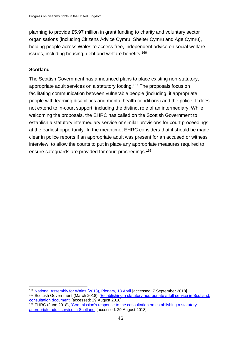planning to provide £5.97 million in grant funding to charity and voluntary sector organisations (including Citizens Advice Cymru, Shelter Cymru and Age Cymru), helping people across Wales to access free, independent advice on social welfare issues, including housing, debt and welfare benefits.<sup>166</sup>

### **Scotland**

1

The Scottish Government has announced plans to place existing non-statutory, appropriate adult services on a statutory footing.<sup>167</sup> The proposals focus on facilitating communication between vulnerable people (including, if appropriate, people with learning disabilities and mental health conditions) and the police. It does not extend to in-court support, including the distinct role of an intermediary. While welcoming the proposals, the EHRC has called on the Scottish Government to establish a statutory intermediary service or similar provisions for court proceedings at the earliest opportunity. In the meantime, EHRC considers that it should be made clear in police reports if an appropriate adult was present for an accused or witness interview, to allow the courts to put in place any appropriate measures required to ensure safeguards are provided for court proceedings. 168

<sup>166</sup> [National Assembly for Wales \(2018\), Plenary, 18 April](http://record.assembly.wales/Plenary/4976?lang=en-GB) [accessed: 7 September 2018].

<sup>&</sup>lt;sup>167</sup> Scottish Government (March 2018), 'Establishing a statutory appropriate adult service in Scotland, [consultation document'](https://consult.gov.scot/criminal-justice/appropriate-adult-service/) [accessed: 29 August 2018].

<sup>168</sup> EHRC (June 2018), 'Commission's response to the consultation on establishing a statutory [appropriate adult service in Scotland'](https://www.equalityhumanrights.com/en/our-work-scotland/our-work-scotland/consultations-scotland) [accessed: 29 August 2018].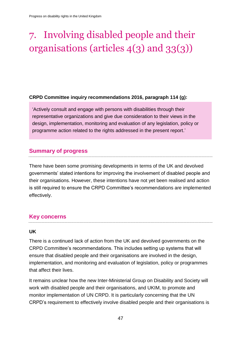# <span id="page-46-0"></span>7. Involving disabled people and their organisations (articles 4(3) and 33(3))

#### **CRPD Committee inquiry recommendations 2016, paragraph 114 (g):**

'Actively consult and engage with persons with disabilities through their representative organizations and give due consideration to their views in the design, implementation, monitoring and evaluation of any legislation, policy or programme action related to the rights addressed in the present report.'

# <span id="page-46-1"></span>**Summary of progress**

There have been some promising developments in terms of the UK and devolved governments' stated intentions for improving the involvement of disabled people and their organisations. However, these intentions have not yet been realised and action is still required to ensure the CRPD Committee's recommendations are implemented effectively.

# <span id="page-46-2"></span>**Key concerns**

#### **UK**

There is a continued lack of action from the UK and devolved governments on the CRPD Committee's recommendations. This includes setting up systems that will ensure that disabled people and their organisations are involved in the design, implementation, and monitoring and evaluation of legislation, policy or programmes that affect their lives.

It remains unclear how the new Inter-Ministerial Group on Disability and Society will work with disabled people and their organisations, and UKIM, to promote and monitor implementation of UN CRPD. It is particularly concerning that the UN CRPD's requirement to effectively involve disabled people and their organisations is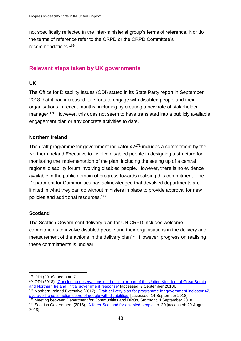not specifically reflected in the inter-ministerial group's terms of reference. Nor do the terms of reference refer to the CRPD or the CRPD Committee's recommendations.<sup>169</sup>

# <span id="page-47-0"></span>**Relevant steps taken by UK governments**

### **UK**

The Office for Disability Issues (ODI) stated in its State Party report in September 2018 that it had increased its efforts to engage with disabled people and their organisations in recent months, including by creating a new role of stakeholder manager.<sup>170</sup> However, this does not seem to have translated into a publicly available engagement plan or any concrete activities to date.

# **Northern Ireland**

The draft programme for government indicator  $42^{171}$  includes a commitment by the Northern Ireland Executive to involve disabled people in designing a structure for monitoring the implementation of the plan, including the setting up of a central regional disability forum involving disabled people. However, there is no evidence available in the public domain of progress towards realising this commitment. The Department for Communities has acknowledged that devolved departments are limited in what they can do without ministers in place to provide approval for new policies and additional resources.<sup>172</sup>

#### **Scotland**

1

The Scottish Government delivery plan for UN CRPD includes welcome commitments to involve disabled people and their organisations in the delivery and measurement of the actions in the delivery plan<sup>173</sup>. However, progress on realising these commitments is unclear.

<sup>169</sup> ODI (2018), see note 7.

<sup>170</sup> ODI (2018), ['Concluding observations on the initial report of the United Kingdom of Great Britain](https://www.gov.uk/government/publications/disabled-peoples-rights-information-following-the-uks-first-periodic-review/concluding-observations-on-the-initial-report-of-the-united-kingdom-of-great-britain-and-northern-ireland-initial-government-response)  [and Northern Ireland: initial government response'](https://www.gov.uk/government/publications/disabled-peoples-rights-information-following-the-uks-first-periodic-review/concluding-observations-on-the-initial-report-of-the-united-kingdom-of-great-britain-and-northern-ireland-initial-government-response) [accessed: 7 September 2018].

<sup>&</sup>lt;sup>171</sup> Northern Ireland Executive (2017), 'Draft delivery plan for programme for government indicator 42, [average life satisfaction score of people with disabilities'](https://www.northernireland.gov.uk/sites/default/files/publications/newnigov/dp-average-life-satisfaction-score.PDF) [accessed: 14 September 2018].

<sup>172</sup> Meeting between Department for Communities and DPOs, Stormont, 4 September 2018. <sup>173</sup> Scottish Government (2016), ['A fairer Scotland for disabled people',](https://www.gov.scot/Publications/2016/12/3778) p. 39 [accessed: 29 August 2018].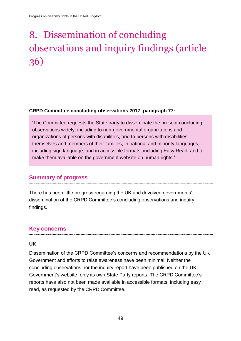# <span id="page-48-0"></span>8. Dissemination of concluding observations and inquiry findings (article 36)

#### **CRPD Committee concluding observations 2017, paragraph 77:**

'The Committee requests the State party to disseminate the present concluding observations widely, including to non-governmental organizations and organizations of persons with disabilities, and to persons with disabilities themselves and members of their families, in national and minority languages, including sign language, and in accessible formats, including Easy Read, and to make them available on the government website on human rights.'

# <span id="page-48-1"></span>**Summary of progress**

There has been little progress regarding the UK and devolved governments' dissemination of the CRPD Committee's concluding observations and inquiry findings.

# <span id="page-48-2"></span>**Key concerns**

#### **UK**

Dissemination of the CRPD Committee's concerns and recommendations by the UK Government and efforts to raise awareness have been minimal. Neither the concluding observations nor the inquiry report have been published on the UK Government's website, only its own State Party reports. The CRPD Committee's reports have also not been made available in accessible formats, including easy read, as requested by the CRPD Committee.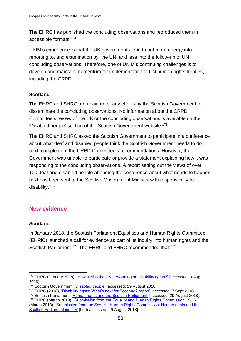The EHRC has published the concluding observations and reproduced them in accessible formats.<sup>174</sup>

UKIM's experience is that the UK governments tend to put more energy into reporting to, and examination by, the UN, and less into the follow-up of UN concluding observations. Therefore, one of UKIM's continuing challenges is to develop and maintain momentum for implementation of UN human rights treaties, including the CRPD.

# **Scotland**

The EHRC and SHRC are unaware of any efforts by the Scottish Government to disseminate the concluding observations. No information about the CRPD Committee's review of the UK or the concluding observations is available on the 'Disabled people' section of the Scottish Government website.<sup>175</sup>

The EHRC and SHRC asked the Scottish Government to participate in a conference about what deaf and disabled people think the Scottish Government needs to do next to implement the CRPD Committee's recommendations. However, the Government was unable to participate or provide a statement explaining how it was responding to the concluding observations. A report setting out the views of over 100 deaf and disabled people attending the conference about what needs to happen next has been sent to the Scottish Government Minister with responsibility for disability.<sup>176</sup>

# <span id="page-49-0"></span>**New evidence**

# **Scotland**

In January 2018, the Scottish Parliament Equalities and Human Rights Committee (EHRiC) launched a call for evidence as part of its inquiry into human rights and the Scottish Parliament.<sup>177</sup> The EHRC and SHRC recommended that: <sup>178</sup>

<sup>174</sup> EHRC (January 2018), ['How well is the UK performing on disability rights?'](https://www.equalityhumanrights.com/en/publication-download/how-well-uk-performing-disability-rights) [accessed: 3 August 2018].

<sup>175</sup> Scottish Government, ['Disabled people'](https://beta.gov.scot/policies/disabled-people/) [accessed: 29 August 2018].

<sup>176</sup> EHRC (2018), ['Disability rights: What's next for Scotland? report'](http://inclusionscotland.org/uncrpd-event-report/) [accessed: 7 Sept 2018].

<sup>177</sup> Scottish Parliament, ['Human rights and the Scottish Parliament'](http://www.parliament.scot/parliamentarybusiness/CurrentCommittees/106453.aspx) [accessed: 29 August 2018]. 178 EHRC (March 2018), ['Submission from the Equality and Human Rights Commission'.](http://www.parliament.scot/S5_Equal_Opps/Submission_from_EHRC.pdf) SHRC (March 2018), ['Submission from the Scottish Human Rights Commission: Human rights and the](http://www.parliament.scot/S5_Equal_Opps/Submission_from_Scottish_Human_Rights_Commission.pdf)  [Scottish Parliament inquiry'](http://www.parliament.scot/S5_Equal_Opps/Submission_from_Scottish_Human_Rights_Commission.pdf) [both accessed: 29 August 2018].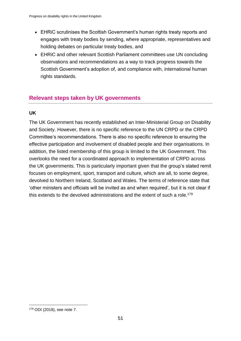- EHRiC scrutinises the Scottish Government's human rights treaty reports and engages with treaty bodies by sending, where appropriate, representatives and holding debates on particular treaty bodies, and
- EHRiC and other relevant Scottish Parliament committees use UN concluding observations and recommendations as a way to track progress towards the Scottish Government's adoption of, and compliance with, international human rights standards.

# <span id="page-50-0"></span>**Relevant steps taken by UK governments**

# **UK**

The UK Government has recently established an Inter-Ministerial Group on Disability and Society. However, there is no specific reference to the UN CRPD or the CRPD Committee's recommendations. There is also no specific reference to ensuring the effective participation and involvement of disabled people and their organisations. In addition, the listed membership of this group is limited to the UK Government. This overlooks the need for a coordinated approach to implementation of CRPD across the UK governments. This is particularly important given that the group's stated remit focuses on employment, sport, transport and culture, which are all, to some degree, devolved to Northern Ireland, Scotland and Wales. The terms of reference state that 'other ministers and officials will be invited as and when required', but it is not clear if this extends to the devolved administrations and the extent of such a role.<sup>179</sup>

<sup>179</sup> ODI (2018), see note 7.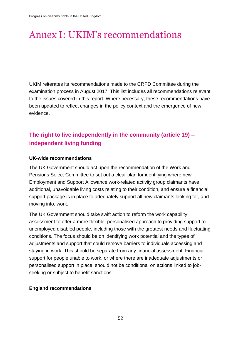# <span id="page-51-0"></span>Annex I: UKIM's recommendations

UKIM reiterates its recommendations made to the CRPD Committee during the examination process in August 2017. This list includes all recommendations relevant to the issues covered in this report. Where necessary, these recommendations have been updated to reflect changes in the policy context and the emergence of new evidence.

# **The right to live independently in the community (article 19) – independent living funding**

#### **UK-wide recommendations**

The UK Government should act upon the recommendation of the Work and Pensions Select Committee to set out a clear plan for identifying where new Employment and Support Allowance work-related activity group claimants have additional, unavoidable living costs relating to their condition, and ensure a financial support package is in place to adequately support all new claimants looking for, and moving into, work.

The UK Government should take swift action to reform the work capability assessment to offer a more flexible, personalised approach to providing support to unemployed disabled people, including those with the greatest needs and fluctuating conditions. The focus should be on identifying work potential and the types of adjustments and support that could remove barriers to individuals accessing and staying in work. This should be separate from any financial assessment. Financial support for people unable to work, or where there are inadequate adjustments or personalised support in place, should not be conditional on actions linked to jobseeking or subject to benefit sanctions.

#### **England recommendations**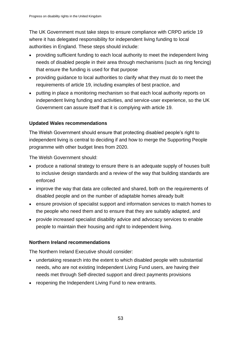The UK Government must take steps to ensure compliance with CRPD article 19 where it has delegated responsibility for independent living funding to local authorities in England. These steps should include:

- providing sufficient funding to each local authority to meet the independent living needs of disabled people in their area through mechanisms (such as ring fencing) that ensure the funding is used for that purpose
- providing guidance to local authorities to clarify what they must do to meet the requirements of article 19, including examples of best practice, and
- putting in place a monitoring mechanism so that each local authority reports on independent living funding and activities, and service-user experience, so the UK Government can assure itself that it is complying with article 19.

# **Updated Wales recommendations**

The Welsh Government should ensure that protecting disabled people's right to independent living is central to deciding if and how to merge the Supporting People programme with other budget lines from 2020.

The Welsh Government should:

- produce a national strategy to ensure there is an adequate supply of houses built to inclusive design standards and a review of the way that building standards are enforced
- improve the way that data are collected and shared, both on the requirements of disabled people and on the number of adaptable homes already built
- ensure provision of specialist support and information services to match homes to the people who need them and to ensure that they are suitably adapted, and
- provide increased specialist disability advice and advocacy services to enable people to maintain their housing and right to independent living.

# **Northern Ireland recommendations**

The Northern Ireland Executive should consider:

- undertaking research into the extent to which disabled people with substantial needs, who are not existing Independent Living Fund users, are having their needs met through Self-directed support and direct payments provisions
- reopening the Independent Living Fund to new entrants.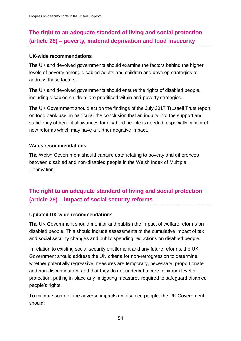# **The right to an adequate standard of living and social protection (article 28) – poverty, material deprivation and food insecurity**

#### **UK-wide recommendations**

The UK and devolved governments should examine the factors behind the higher levels of poverty among disabled adults and children and develop strategies to address these factors.

The UK and devolved governments should ensure the rights of disabled people, including disabled children, are prioritised within anti-poverty strategies.

The UK Government should act on the findings of the July 2017 Trussell Trust report on food bank use, in particular the conclusion that an inquiry into the support and sufficiency of benefit allowances for disabled people is needed, especially in light of new reforms which may have a further negative impact.

# **Wales recommendations**

The Welsh Government should capture data relating to poverty and differences between disabled and non-disabled people in the Welsh Index of Multiple Deprivation.

# **The right to an adequate standard of living and social protection (article 28) – impact of social security reforms**

#### **Updated UK-wide recommendations**

The UK Government should monitor and publish the impact of welfare reforms on disabled people. This should include assessments of the cumulative impact of tax and social security changes and public spending reductions on disabled people.

In relation to existing social security entitlement and any future reforms, the UK Government should address the UN criteria for non-retrogression to determine whether potentially regressive measures are temporary, necessary, proportionate and non-discriminatory, and that they do not undercut a core minimum level of protection, putting in place any mitigating measures required to safeguard disabled people's rights.

To mitigate some of the adverse impacts on disabled people, the UK Government should: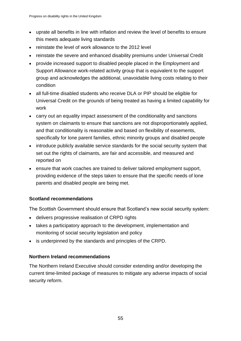- uprate all benefits in line with inflation and review the level of benefits to ensure this meets adequate living standards
- reinstate the level of work allowance to the 2012 level
- reinstate the severe and enhanced disability premiums under Universal Credit
- provide increased support to disabled people placed in the Employment and Support Allowance work-related activity group that is equivalent to the support group and acknowledges the additional, unavoidable living costs relating to their condition
- all full-time disabled students who receive DLA or PIP should be eligible for Universal Credit on the grounds of being treated as having a limited capability for work
- carry out an equality impact assessment of the conditionality and sanctions system on claimants to ensure that sanctions are not disproportionately applied, and that conditionality is reasonable and based on flexibility of easements, specifically for lone parent families, ethnic minority groups and disabled people
- introduce publicly available service standards for the social security system that set out the rights of claimants, are fair and accessible, and measured and reported on
- ensure that work coaches are trained to deliver tailored employment support, providing evidence of the steps taken to ensure that the specific needs of lone parents and disabled people are being met.

# **Scotland recommendations**

The Scottish Government should ensure that Scotland's new social security system:

- delivers progressive realisation of CRPD rights
- takes a participatory approach to the development, implementation and monitoring of social security legislation and policy
- is underpinned by the standards and principles of the CRPD.

# **Northern Ireland recommendations**

The Northern Ireland Executive should consider extending and/or developing the current time-limited package of measures to mitigate any adverse impacts of social security reform.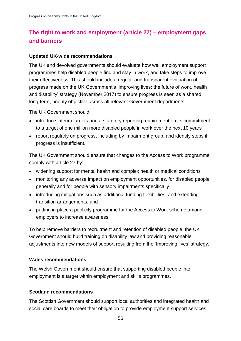# **The right to work and employment (article 27) – employment gaps and barriers**

### **Updated UK-wide recommendations**

The UK and devolved governments should evaluate how well employment support programmes help disabled people find and stay in work, and take steps to improve their effectiveness. This should include a regular and transparent evaluation of progress made on the UK Government's 'Improving lives: the future of work, health and disability' strategy (November 2017) to ensure progress is seen as a shared, long-term, priority objective across all relevant Government departments.

The UK Government should:

- introduce interim targets and a statutory reporting requirement on its commitment to a target of one million more disabled people in work over the next 10 years
- report regularly on progress, including by impairment group, and identify steps if progress is insufficient.

The UK Government should ensure that changes to the Access to Work programme comply with article 27 by:

- widening support for mental health and complex health or medical conditions
- monitoring any adverse impact on employment opportunities, for disabled people generally and for people with sensory impairments specifically
- introducing mitigations such as additional funding flexibilities, and extending transition arrangements, and
- putting in place a publicity programme for the Access to Work scheme among employers to increase awareness.

To help remove barriers to recruitment and retention of disabled people, the UK Government should build training on disability law and providing reasonable adjustments into new models of support resulting from the 'Improving lives' strategy.

# **Wales recommendations**

The Welsh Government should ensure that supporting disabled people into employment is a target within employment and skills programmes.

# **Scotland recommendations**

The Scottish Government should support local authorities and integrated health and social care boards to meet their obligation to provide employment support services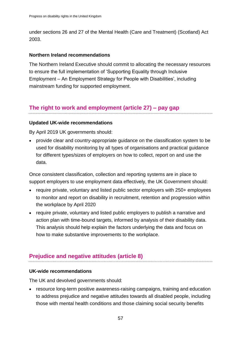under sections 26 and 27 of the Mental Health (Care and Treatment) (Scotland) Act 2003.

# **Northern Ireland recommendations**

The Northern Ireland Executive should commit to allocating the necessary resources to ensure the full implementation of 'Supporting Equality through Inclusive Employment – An Employment Strategy for People with Disabilities', including mainstream funding for supported employment.

# **The right to work and employment (article 27) – pay gap**

#### **Updated UK-wide recommendations**

By April 2019 UK governments should:

• provide clear and country-appropriate guidance on the classification system to be used for disability monitoring by all types of organisations and practical guidance for different types/sizes of employers on how to collect, report on and use the data.

Once consistent classification, collection and reporting systems are in place to support employers to use employment data effectively, the UK Government should:

- require private, voluntary and listed public sector employers with 250+ employees to monitor and report on disability in recruitment, retention and progression within the workplace by April 2020
- require private, voluntary and listed public employers to publish a narrative and action plan with time-bound targets, informed by analysis of their disability data. This analysis should help explain the factors underlying the data and focus on how to make substantive improvements to the workplace.

# **Prejudice and negative attitudes (article 8)**

#### **UK-wide recommendations**

The UK and devolved governments should:

• resource long-term positive awareness-raising campaigns, training and education to address prejudice and negative attitudes towards all disabled people, including those with mental health conditions and those claiming social security benefits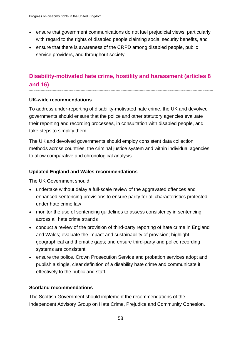- ensure that government communications do not fuel prejudicial views, particularly with regard to the rights of disabled people claiming social security benefits, and
- ensure that there is awareness of the CRPD among disabled people, public service providers, and throughout society.

# **Disability-motivated hate crime, hostility and harassment (articles 8 and 16)**

#### **UK-wide recommendations**

To address under-reporting of disability-motivated hate crime, the UK and devolved governments should ensure that the police and other statutory agencies evaluate their reporting and recording processes, in consultation with disabled people, and take steps to simplify them.

The UK and devolved governments should employ consistent data collection methods across countries, the criminal justice system and within individual agencies to allow comparative and chronological analysis.

# **Updated England and Wales recommendations**

The UK Government should:

- undertake without delay a full-scale review of the aggravated offences and enhanced sentencing provisions to ensure parity for all characteristics protected under hate crime law
- monitor the use of sentencing guidelines to assess consistency in sentencing across all hate crime strands
- conduct a review of the provision of third-party reporting of hate crime in England and Wales; evaluate the impact and sustainability of provision; highlight geographical and thematic gaps; and ensure third-party and police recording systems are consistent
- ensure the police, Crown Prosecution Service and probation services adopt and publish a single, clear definition of a disability hate crime and communicate it effectively to the public and staff.

# **Scotland recommendations**

The Scottish Government should implement the recommendations of the Independent Advisory Group on Hate Crime, Prejudice and Community Cohesion.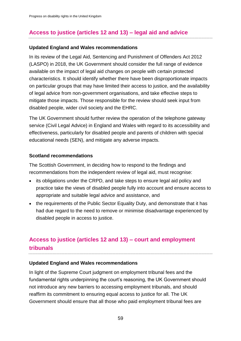# **Access to justice (articles 12 and 13) – legal aid and advice**

#### **Updated England and Wales recommendations**

In its review of the Legal Aid, Sentencing and Punishment of Offenders Act 2012 (LASPO) in 2018, the UK Government should consider the full range of evidence available on the impact of legal aid changes on people with certain protected characteristics. It should identify whether there have been disproportionate impacts on particular groups that may have limited their access to justice, and the availability of legal advice from non-government organisations, and take effective steps to mitigate those impacts. Those responsible for the review should seek input from disabled people, wider civil society and the EHRC.

The UK Government should further review the operation of the telephone gateway service (Civil Legal Advice) in England and Wales with regard to its accessibility and effectiveness, particularly for disabled people and parents of children with special educational needs (SEN), and mitigate any adverse impacts.

#### **Scotland recommendations**

The Scottish Government, in deciding how to respond to the findings and recommendations from the independent review of legal aid, must recognise:

- its obligations under the CRPD, and take steps to ensure legal aid policy and practice take the views of disabled people fully into account and ensure access to appropriate and suitable legal advice and assistance, and
- the requirements of the Public Sector Equality Duty, and demonstrate that it has had due regard to the need to remove or minimise disadvantage experienced by disabled people in access to justice.

# **Access to justice (articles 12 and 13) – court and employment tribunals**

#### **Updated England and Wales recommendations**

In light of the Supreme Court judgment on employment tribunal fees and the fundamental rights underpinning the court's reasoning, the UK Government should not introduce any new barriers to accessing employment tribunals, and should reaffirm its commitment to ensuring equal access to justice for all. The UK Government should ensure that all those who paid employment tribunal fees are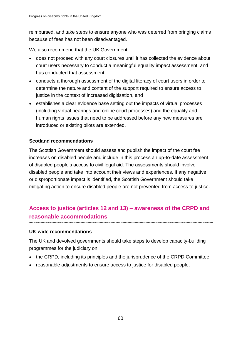reimbursed, and take steps to ensure anyone who was deterred from bringing claims because of fees has not been disadvantaged.

We also recommend that the UK Government:

- does not proceed with any court closures until it has collected the evidence about court users necessary to conduct a meaningful equality impact assessment, and has conducted that assessment
- conducts a thorough assessment of the digital literacy of court users in order to determine the nature and content of the support required to ensure access to justice in the context of increased digitisation, and
- establishes a clear evidence base setting out the impacts of virtual processes (including virtual hearings and online court processes) and the equality and human rights issues that need to be addressed before any new measures are introduced or existing pilots are extended.

# **Scotland recommendations**

The Scottish Government should assess and publish the impact of the court fee increases on disabled people and include in this process an up-to-date assessment of disabled people's access to civil legal aid. The assessments should involve disabled people and take into account their views and experiences. If any negative or disproportionate impact is identified, the Scottish Government should take mitigating action to ensure disabled people are not prevented from access to justice.

# **Access to justice (articles 12 and 13) – awareness of the CRPD and reasonable accommodations**

# **UK-wide recommendations**

The UK and devolved governments should take steps to develop capacity-building programmes for the judiciary on:

- the CRPD, including its principles and the jurisprudence of the CRPD Committee
- reasonable adjustments to ensure access to justice for disabled people.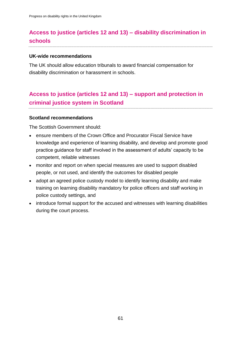# **Access to justice (articles 12 and 13) – disability discrimination in schools**

#### **UK-wide recommendations**

The UK should allow education tribunals to award financial compensation for disability discrimination or harassment in schools.

# **Access to justice (articles 12 and 13) – support and protection in criminal justice system in Scotland**

#### **Scotland recommendations**

The Scottish Government should:

- ensure members of the Crown Office and Procurator Fiscal Service have knowledge and experience of learning disability, and develop and promote good practice guidance for staff involved in the assessment of adults' capacity to be competent, reliable witnesses
- monitor and report on when special measures are used to support disabled people, or not used, and identify the outcomes for disabled people
- adopt an agreed police custody model to identify learning disability and make training on learning disability mandatory for police officers and staff working in police custody settings, and
- introduce formal support for the accused and witnesses with learning disabilities during the court process.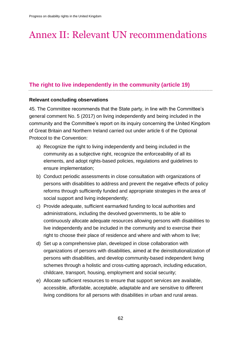# <span id="page-61-0"></span>Annex II: Relevant UN recommendations

# **The right to live independently in the community (article 19)**

#### **Relevant concluding observations**

45. The Committee recommends that the State party, in line with the Committee's general comment No. 5 (2017) on living independently and being included in the community and the Committee's report on its inquiry concerning the United Kingdom of Great Britain and Northern Ireland carried out under article 6 of the Optional Protocol to the Convention:

- a) Recognize the right to living independently and being included in the community as a subjective right, recognize the enforceability of all its elements, and adopt rights-based policies, regulations and guidelines to ensure implementation;
- b) Conduct periodic assessments in close consultation with organizations of persons with disabilities to address and prevent the negative effects of policy reforms through sufficiently funded and appropriate strategies in the area of social support and living independently;
- c) Provide adequate, sufficient earmarked funding to local authorities and administrations, including the devolved governments, to be able to continuously allocate adequate resources allowing persons with disabilities to live independently and be included in the community and to exercise their right to choose their place of residence and where and with whom to live;
- d) Set up a comprehensive plan, developed in close collaboration with organizations of persons with disabilities, aimed at the deinstitutionalization of persons with disabilities, and develop community-based independent living schemes through a holistic and cross-cutting approach, including education, childcare, transport, housing, employment and social security;
- e) Allocate sufficient resources to ensure that support services are available, accessible, affordable, acceptable, adaptable and are sensitive to different living conditions for all persons with disabilities in urban and rural areas.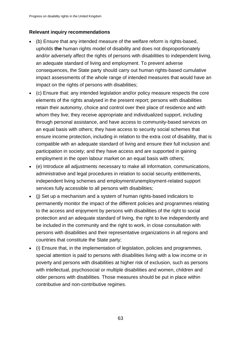# **Relevant inquiry recommendations**

- (b) Ensure that any intended measure of the welfare reform is rights-based, upholds **the** human rights model of disability and does not disproportionately and/or adversely affect the rights of persons with disabilities to independent living. an adequate standard of living and employment. To prevent adverse consequences, the State party should carry out human rights-based cumulative impact assessments of the whole range of intended measures that would have an impact on the rights of persons with disabilities;
- (c) Ensure that: any intended legislation and/or policy measure respects the core elements of the rights analysed in the present report; persons with disabilities retain their autonomy, choice and control over their place of residence and with whom they live; they receive appropriate and individualized support, including through personal assistance, and have access to community-based services on an equal basis with others; they have access to security social schemes that ensure income protection, including in relation to the extra cost of disability, that is compatible with an adequate standard of living and ensure their full inclusion and participation in society; and they have access and are supported in gaining employment in the open labour market on an equal basis with others;
- (e) Introduce all adjustments necessary to make all information, communications, administrative and legal procedures in relation to social security entitlements, independent living schemes and employment/unemployment-related support services fully accessible to all persons with disabilities;
- (j) Set up a mechanism and a system of human rights-based indicators to permanently monitor the impact of the different policies and programmes relating to the access and enjoyment by persons with disabilities of the right to social protection and an adequate standard of living, the right to live independently and be included in the community and the right to work, in close consultation with persons with disabilities and their representative organizations in all regions and countries that constitute the State party;
- (i) Ensure that, in the implementation of legislation, policies and programmes, special attention is paid to persons with disabilities living with a low income or in poverty and persons with disabilities at higher risk of exclusion, such as persons with intellectual, psychosocial or multiple disabilities and women, children and older persons with disabilities. Those measures should be put in place within contributive and non-contributive regimes.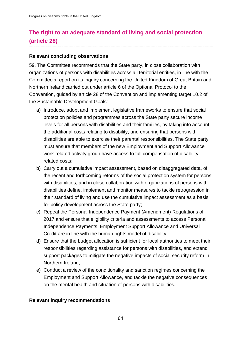# **The right to an adequate standard of living and social protection (article 28)**

#### **Relevant concluding observations**

59. The Committee recommends that the State party, in close collaboration with organizations of persons with disabilities across all territorial entities, in line with the Committee's report on its inquiry concerning the United Kingdom of Great Britain and Northern Ireland carried out under article 6 of the Optional Protocol to the Convention, guided by article 28 of the Convention and implementing target 10.2 of the Sustainable Development Goals:

- a) Introduce, adopt and implement legislative frameworks to ensure that social protection policies and programmes across the State party secure income levels for all persons with disabilities and their families, by taking into account the additional costs relating to disability, and ensuring that persons with disabilities are able to exercise their parental responsibilities. The State party must ensure that members of the new Employment and Support Allowance work-related activity group have access to full compensation of disabilityrelated costs;
- b) Carry out a cumulative impact assessment, based on disaggregated data, of the recent and forthcoming reforms of the social protection system for persons with disabilities, and in close collaboration with organizations of persons with disabilities define, implement and monitor measures to tackle retrogression in their standard of living and use the cumulative impact assessment as a basis for policy development across the State party;
- c) Repeal the Personal Independence Payment (Amendment) Regulations of 2017 and ensure that eligibility criteria and assessments to access Personal Independence Payments, Employment Support Allowance and Universal Credit are in line with the human rights model of disability;
- d) Ensure that the budget allocation is sufficient for local authorities to meet their responsibilities regarding assistance for persons with disabilities, and extend support packages to mitigate the negative impacts of social security reform in Northern Ireland;
- e) Conduct a review of the conditionality and sanction regimes concerning the Employment and Support Allowance, and tackle the negative consequences on the mental health and situation of persons with disabilities.

#### **Relevant inquiry recommendations**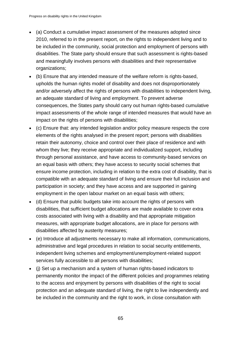- (a) Conduct a cumulative impact assessment of the measures adopted since 2010, referred to in the present report, on the rights to independent living and to be included in the community, social protection and employment of persons with disabilities. The State party should ensure that such assessment is rights-based and meaningfully involves persons with disabilities and their representative organizations;
- (b) Ensure that any intended measure of the welfare reform is rights-based, upholds the human rights model of disability and does not disproportionately and/or adversely affect the rights of persons with disabilities to independent living, an adequate standard of living and employment. To prevent adverse consequences, the States party should carry out human rights-based cumulative impact assessments of the whole range of intended measures that would have an impact on the rights of persons with disabilities;
- (c) Ensure that: any intended legislation and/or policy measure respects the core elements of the rights analysed in the present report; persons with disabilities retain their autonomy, choice and control over their place of residence and with whom they live; they receive appropriate and individualized support, including through personal assistance, and have access to community-based services on an equal basis with others; they have access to security social schemes that ensure income protection, including in relation to the extra cost of disability, that is compatible with an adequate standard of living and ensure their full inclusion and participation in society; and they have access and are supported in gaining employment in the open labour market on an equal basis with others;
- (d) Ensure that public budgets take into account the rights of persons with disabilities, that sufficient budget allocations are made available to cover extra costs associated with living with a disability and that appropriate mitigation measures, with appropriate budget allocations, are in place for persons with disabilities affected by austerity measures;
- (e) Introduce all adjustments necessary to make all information, communications, administrative and legal procedures in relation to social security entitlements, independent living schemes and employment/unemployment-related support services fully accessible to all persons with disabilities;
- (j) Set up a mechanism and a system of human rights-based indicators to permanently monitor the impact of the different policies and programmes relating to the access and enjoyment by persons with disabilities of the right to social protection and an adequate standard of living, the right to live independently and be included in the community and the right to work, in close consultation with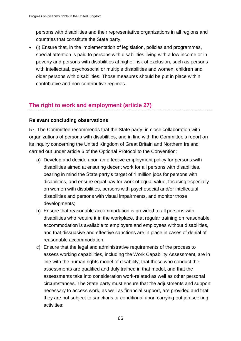persons with disabilities and their representative organizations in all regions and countries that constitute the State party;

 (i) Ensure that, in the implementation of legislation, policies and programmes, special attention is paid to persons with disabilities living with a low income or in poverty and persons with disabilities at higher risk of exclusion, such as persons with intellectual, psychosocial or multiple disabilities and women, children and older persons with disabilities. Those measures should be put in place within contributive and non-contributive regimes.

# **The right to work and employment (article 27)**

# **Relevant concluding observations**

57. The Committee recommends that the State party, in close collaboration with organizations of persons with disabilities, and in line with the Committee's report on its inquiry concerning the United Kingdom of Great Britain and Northern Ireland carried out under article 6 of the Optional Protocol to the Convention:

- a) Develop and decide upon an effective employment policy for persons with disabilities aimed at ensuring decent work for all persons with disabilities, bearing in mind the State party's target of 1 million jobs for persons with disabilities, and ensure equal pay for work of equal value, focusing especially on women with disabilities, persons with psychosocial and/or intellectual disabilities and persons with visual impairments, and monitor those developments;
- b) Ensure that reasonable accommodation is provided to all persons with disabilities who require it in the workplace, that regular training on reasonable accommodation is available to employers and employees without disabilities, and that dissuasive and effective sanctions are in place in cases of denial of reasonable accommodation;
- c) Ensure that the legal and administrative requirements of the process to assess working capabilities, including the Work Capability Assessment, are in line with the human rights model of disability, that those who conduct the assessments are qualified and duly trained in that model, and that the assessments take into consideration work-related as well as other personal circumstances. The State party must ensure that the adjustments and support necessary to access work, as well as financial support, are provided and that they are not subject to sanctions or conditional upon carrying out job seeking activities;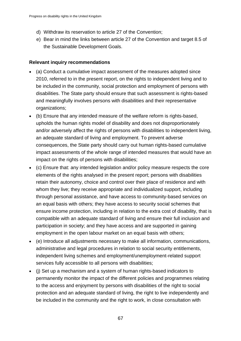- d) Withdraw its reservation to article 27 of the Convention;
- e) Bear in mind the links between article 27 of the Convention and target 8.5 of the Sustainable Development Goals.

### **Relevant inquiry recommendations**

- (a) Conduct a cumulative impact assessment of the measures adopted since 2010, referred to in the present report, on the rights to independent living and to be included in the community, social protection and employment of persons with disabilities. The State party should ensure that such assessment is rights-based and meaningfully involves persons with disabilities and their representative organizations;
- (b) Ensure that any intended measure of the welfare reform is rights-based, upholds the human rights model of disability and does not disproportionately and/or adversely affect the rights of persons with disabilities to independent living, an adequate standard of living and employment. To prevent adverse consequences, the State party should carry out human rights-based cumulative impact assessments of the whole range of intended measures that would have an impact on the rights of persons with disabilities;
- (c) Ensure that: any intended legislation and/or policy measure respects the core elements of the rights analysed in the present report; persons with disabilities retain their autonomy, choice and control over their place of residence and with whom they live; they receive appropriate and individualized support, including through personal assistance, and have access to community-based services on an equal basis with others; they have access to security social schemes that ensure income protection, including in relation to the extra cost of disability, that is compatible with an adequate standard of living and ensure their full inclusion and participation in society; and they have access and are supported in gaining employment in the open labour market on an equal basis with others;
- (e) Introduce all adjustments necessary to make all information, communications, administrative and legal procedures in relation to social security entitlements, independent living schemes and employment/unemployment-related support services fully accessible to all persons with disabilities;
- (j) Set up a mechanism and a system of human rights-based indicators to permanently monitor the impact of the different policies and programmes relating to the access and enjoyment by persons with disabilities of the right to social protection and an adequate standard of living, the right to live independently and be included in the community and the right to work, in close consultation with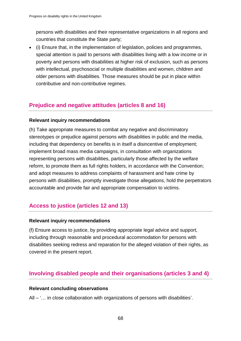persons with disabilities and their representative organizations in all regions and countries that constitute the State party;

 (i) Ensure that, in the implementation of legislation, policies and programmes, special attention is paid to persons with disabilities living with a low income or in poverty and persons with disabilities at higher risk of exclusion, such as persons with intellectual, psychosocial or multiple disabilities and women, children and older persons with disabilities. Those measures should be put in place within contributive and non-contributive regimes.

# **Prejudice and negative attitudes (articles 8 and 16)**

# **Relevant inquiry recommendations**

(h) Take appropriate measures to combat any negative and discriminatory stereotypes or prejudice against persons with disabilities in public and the media, including that dependency on benefits is in itself a disincentive of employment; implement broad mass media campaigns, in consultation with organizations representing persons with disabilities, particularly those affected by the welfare reform, to promote them as full rights holders, in accordance with the Convention; and adopt measures to address complaints of harassment and hate crime by persons with disabilities, promptly investigate those allegations, hold the perpetrators accountable and provide fair and appropriate compensation to victims.

# **Access to justice (articles 12 and 13)**

#### **Relevant inquiry recommendations**

(f) Ensure access to justice, by providing appropriate legal advice and support, including through reasonable and procedural accommodation for persons with disabilities seeking redress and reparation for the alleged violation of their rights, as covered in the present report.

# **Involving disabled people and their organisations (articles 3 and 4)**

#### **Relevant concluding observations**

All – '… in close collaboration with organizations of persons with disabilities'.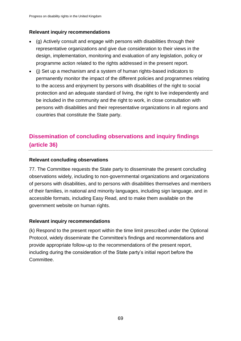# **Relevant inquiry recommendations**

- (g) Actively consult and engage with persons with disabilities through their representative organizations and give due consideration to their views in the design, implementation, monitoring and evaluation of any legislation, policy or programme action related to the rights addressed in the present report.
- (j) Set up a mechanism and a system of human rights-based indicators to permanently monitor the impact of the different policies and programmes relating to the access and enjoyment by persons with disabilities of the right to social protection and an adequate standard of living, the right to live independently and be included in the community and the right to work, in close consultation with persons with disabilities and their representative organizations in all regions and countries that constitute the State party.

# **Dissemination of concluding observations and inquiry findings (article 36)**

# **Relevant concluding observations**

77. The Committee requests the State party to disseminate the present concluding observations widely, including to non-governmental organizations and organizations of persons with disabilities, and to persons with disabilities themselves and members of their families, in national and minority languages, including sign language, and in accessible formats, including Easy Read, and to make them available on the government website on human rights.

#### **Relevant inquiry recommendations**

(k) Respond to the present report within the time limit prescribed under the Optional Protocol, widely disseminate the Committee's findings and recommendations and provide appropriate follow-up to the recommendations of the present report, including during the consideration of the State party's initial report before the Committee.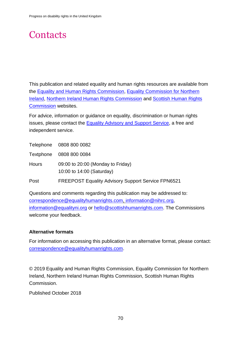# **Contacts**

This publication and related equality and human rights resources are available from the [Equality and Human Rights Commission,](http://www.equalityhumanrights.com/) [Equality Commission for Northern](http://www.equalityni.org/Home)  [Ireland,](http://www.equalityni.org/Home) Northern Ireland Human Rights Commission and [Scottish Human Rights](http://www.scottishhumanrights.com/)  [Commission](http://www.scottishhumanrights.com/) websites.

For advice, information or guidance on equality, discrimination or human rights issues, please contact the [Equality Advisory and Support Service,](http://www.equalityadvisoryservice.com/) a free and independent service.

Telephone 0808 800 0082

Textphone 0808 800 0084

Hours 09:00 to 20:00 (Monday to Friday) 10:00 to 14:00 (Saturday)

Post FREEPOST Equality Advisory Support Service FPN6521

Questions and comments regarding this publication may be addressed to: [correspondence@equalityhumanrights.com,](mailto:correspondence@equalityhumanrights.com) [information@nihrc.org,](mailto:information@nihrc.org) [information@equalityni.org](mailto:information@equalityni.org) or [hello@scottishhumanrights.com.](mailto:hello@scottishhumanrights.com) The Commissions welcome your feedback.

#### **Alternative formats**

For information on accessing this publication in an alternative format, please contact: [correspondence@equalityhumanrights.com.](mailto:correspondence@equalityhumanrights.com)

© 2019 Equality and Human Rights Commission, Equality Commission for Northern Ireland, Northern Ireland Human Rights Commission, Scottish Human Rights Commission.

Published October 2018